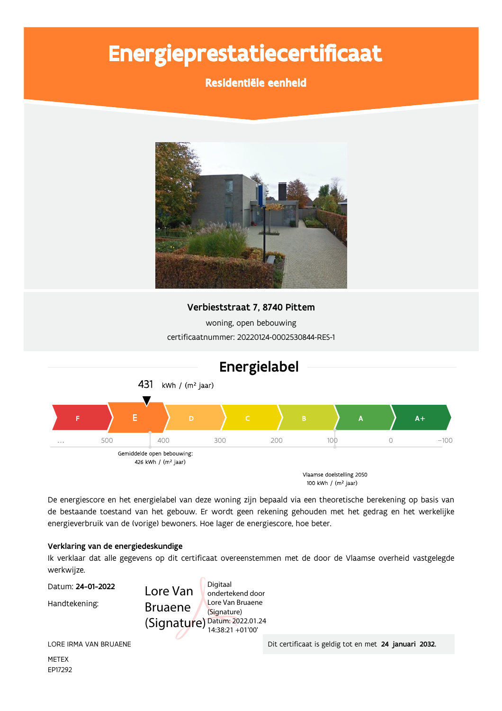# Energieprestatiecertificaat

# Residentiële eenheid



## Verbieststraat 7, 8740 Pittem

woning, open bebouwing certificaatnummer: 20220124-0002530844-RES-1



De energiescore en het energielabel van deze woning zijn bepaald via een theoretische berekening op basis van de bestaande toestand van het gebouw. Er wordt geen rekening gehouden met het gedrag en het werkelijke energieverbruik van de (vorige) bewoners. Hoe lager de energiescore, hoe beter.

#### Verklaring van de energiedeskundige

Ik verklaar dat alle gegevens op dit certificaat overeenstemmen met de door de Vlaamse overheid vastgelegde werkwijze.

Datum: 24-01-2022

Handtekening:

Digitaal Lore Van ondertekend door Lore Van Bruaene **Bruaene** (Signature) (Signature) Datum: 2022.01.24 14:38:21 +01'00'

LORE IRMA VAN BRUAENE

**METEX** EP17292 Dit certificaat is geldig tot en met 24 januari 2032.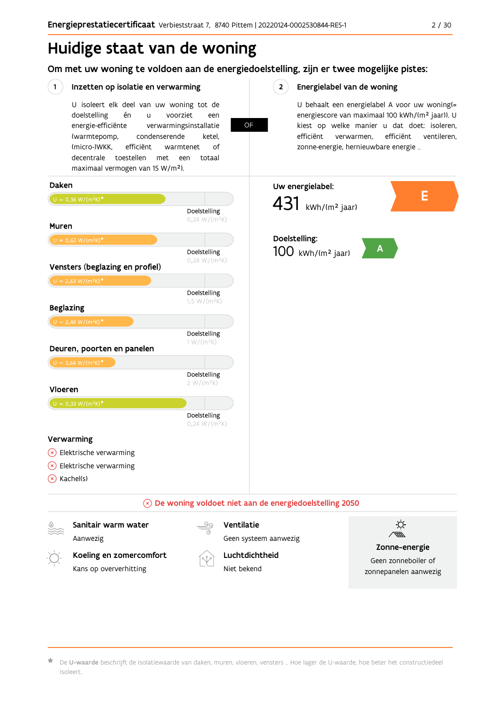# Huidige staat van de woning

Om met uw woning te voldoen aan de energiedoelstelling, zijn er twee mogelijke pistes:

**OF** 

#### $(1)$ Inzetten op isolatie en verwarming

U isoleert elk deel van uw woning tot de voorziet doelstelling én  $\mathbf{u}$ een energie-efficiënte verwarmingsinstallatie (warmtepomp, condenserende ketel. (micro-)WKK. efficiënt warmtenet  $\bigcap_{ }$ decentrale toestellen met een totaal maximaal vermogen van 15 W/m<sup>2</sup>).

 $2^{\circ}$ Energielabel van de woning

> U behaalt een energielabel A voor uw woning(= energiescore van maximaal 100 kWh/(m<sup>2</sup> jaar)). U kiest op welke manier u dat doet: isoleren, efficiënt efficiënt ventileren, verwarmen, zonne-energie, hernieuwbare energie ...



De U-waarde beschrijft de isolatiewaarde van daken, muren, vloeren, vensters ... Hoe lager de U-waarde, hoe beter het constructiedeel isoleert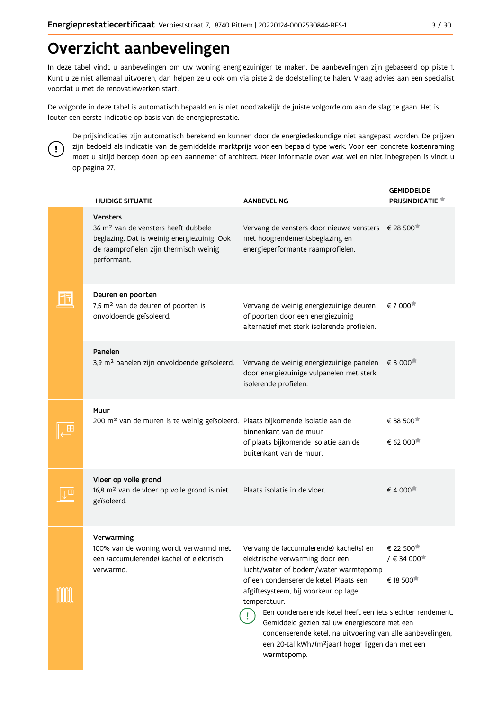# Overzicht aanbevelingen

In deze tabel vindt u aanbevelingen om uw woning energiezuiniger te maken. De aanbevelingen zijn gebaseerd op piste 1. Kunt u ze niet allemaal uitvoeren, dan helpen ze u ook om via piste 2 de doelstelling te halen. Vraag advies aan een specialist voordat u met de renovatiewerken start.

De volgorde in deze tabel is automatisch bepaald en is niet noodzakelijk de juiste volgorde om aan de slag te gaan. Het is louter een eerste indicatie op basis van de energieprestatie.



De prijsindicaties zijn automatisch berekend en kunnen door de energiedeskundige niet aangepast worden. De prijzen zijn bedoeld als indicatie van de gemiddelde marktprijs voor een bepaald type werk. Voor een concrete kostenraming moet u altijd beroep doen op een aannemer of architect. Meer informatie over wat wel en niet inbegrepen is vindt u op pagina 27.

| <b>HUIDIGE SITUATIE</b>                                                                                                                                                    | <b>AANBEVELING</b>                                                                                                                                                                                                                                                                                                                                                                                                                                                                | <b>GEMIDDELDE</b><br><b>PRIJSINDICATIE</b>                   |
|----------------------------------------------------------------------------------------------------------------------------------------------------------------------------|-----------------------------------------------------------------------------------------------------------------------------------------------------------------------------------------------------------------------------------------------------------------------------------------------------------------------------------------------------------------------------------------------------------------------------------------------------------------------------------|--------------------------------------------------------------|
| <b>Vensters</b><br>36 m <sup>2</sup> van de vensters heeft dubbele<br>beglazing. Dat is weinig energiezuinig. Ook<br>de raamprofielen zijn thermisch weinig<br>performant. | Vervang de vensters door nieuwe vensters € 28 500 <sup>*</sup><br>met hoogrendementsbeglazing en<br>energieperformante raamprofielen.                                                                                                                                                                                                                                                                                                                                             |                                                              |
| Deuren en poorten<br>7,5 m <sup>2</sup> van de deuren of poorten is<br>onvoldoende geïsoleerd.                                                                             | Vervang de weinig energiezuinige deuren<br>of poorten door een energiezuinig<br>alternatief met sterk isolerende profielen.                                                                                                                                                                                                                                                                                                                                                       | € 7 000                                                      |
| Panelen<br>3,9 m <sup>2</sup> panelen zijn onvoldoende geïsoleerd.                                                                                                         | Vervang de weinig energiezuinige panelen<br>door energiezuinige vulpanelen met sterk<br>isolerende profielen.                                                                                                                                                                                                                                                                                                                                                                     | € 3 000                                                      |
| Muur<br>200 m <sup>2</sup> van de muren is te weinig geïsoleerd. Plaats bijkomende isolatie aan de                                                                         | binnenkant van de muur<br>of plaats bijkomende isolatie aan de<br>buitenkant van de muur.                                                                                                                                                                                                                                                                                                                                                                                         | € 38 500 <sup>★</sup><br>€ 62 000                            |
| Vloer op volle grond<br>16,8 m <sup>2</sup> van de vloer op volle grond is niet<br>geïsoleerd.                                                                             | Plaats isolatie in de vloer.                                                                                                                                                                                                                                                                                                                                                                                                                                                      | € 4 000                                                      |
| Verwarming<br>100% van de woning wordt verwarmd met<br>een (accumulerende) kachel of elektrisch<br>verwarmd.                                                               | Vervang de (accumulerende) kachel(s) en<br>elektrische verwarming door een<br>lucht/water of bodem/water warmtepomp<br>of een condenserende ketel. Plaats een<br>afgiftesysteem, bij voorkeur op lage<br>temperatuur.<br>Een condenserende ketel heeft een iets slechter rendement.<br>Gemiddeld gezien zal uw energiescore met een<br>condenserende ketel, na uitvoering van alle aanbevelingen,<br>een 20-tal kWh/(m <sup>2</sup> jaar) hoger liggen dan met een<br>warmtepomp. | € 22 500<br>/ € 34 000 <sup><math>#</math></sup><br>€ 18 500 |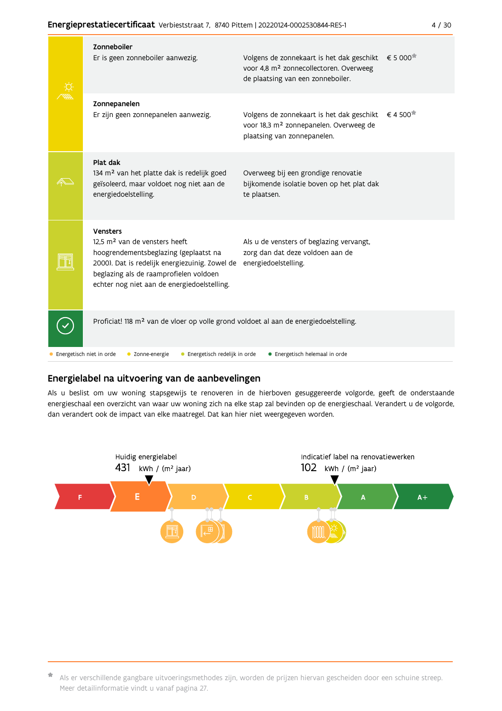#### Energieprestatiecertificaat Verbieststraat 7, 8740 Pittem | 20220124-0002530844-RES-1

|  | Zonneboiler<br>Er is geen zonneboiler aanwezig.                                                                                                                                                                                           | Volgens de zonnekaart is het dak geschikt<br>voor 4,8 m <sup>2</sup> zonnecollectoren. Overweeg<br>de plaatsing van een zonneboiler. | € 5 000                           |
|--|-------------------------------------------------------------------------------------------------------------------------------------------------------------------------------------------------------------------------------------------|--------------------------------------------------------------------------------------------------------------------------------------|-----------------------------------|
|  | Zonnepanelen<br>Er zijn geen zonnepanelen aanwezig.                                                                                                                                                                                       | Volgens de zonnekaart is het dak geschikt<br>voor 18,3 m <sup>2</sup> zonnepanelen. Overweeg de<br>plaatsing van zonnepanelen.       | € 4 500 <sup><math>#</math></sup> |
|  | Plat dak<br>134 m <sup>2</sup> van het platte dak is redelijk goed<br>geïsoleerd, maar voldoet nog niet aan de<br>energiedoelstelling.                                                                                                    | Overweeg bij een grondige renovatie<br>bijkomende isolatie boven op het plat dak<br>te plaatsen.                                     |                                   |
|  | Vensters<br>12.5 m <sup>2</sup> van de vensters heeft<br>hoogrendementsbeglazing (geplaatst na<br>2000). Dat is redelijk energiezuinig. Zowel de<br>beglazing als de raamprofielen voldoen<br>echter nog niet aan de energiedoelstelling. | Als u de vensters of beglazing vervangt,<br>zorg dan dat deze voldoen aan de<br>energiedoelstelling.                                 |                                   |
|  | Proficiat! 118 m <sup>2</sup> van de vloer op volle grond voldoet al aan de energiedoelstelling.                                                                                                                                          |                                                                                                                                      |                                   |
|  | Energetisch niet in orde<br>• Energetisch redelijk in orde<br>• Zonne-energie                                                                                                                                                             | • Energetisch helemaal in orde                                                                                                       |                                   |

## Energielabel na uitvoering van de aanbevelingen

Als u beslist om uw woning stapsgewijs te renoveren in de hierboven gesuggereerde volgorde, geeft de onderstaande energieschaal een overzicht van waar uw woning zich na elke stap zal bevinden op de energieschaal. Verandert u de volgorde, dan verandert ook de impact van elke maatregel. Dat kan hier niet weergegeven worden.



\* Als er verschillende gangbare uitvoeringsmethodes zijn, worden de prijzen hiervan gescheiden door een schuine streep. Meer detailinformatie vindt u vanaf pagina 27.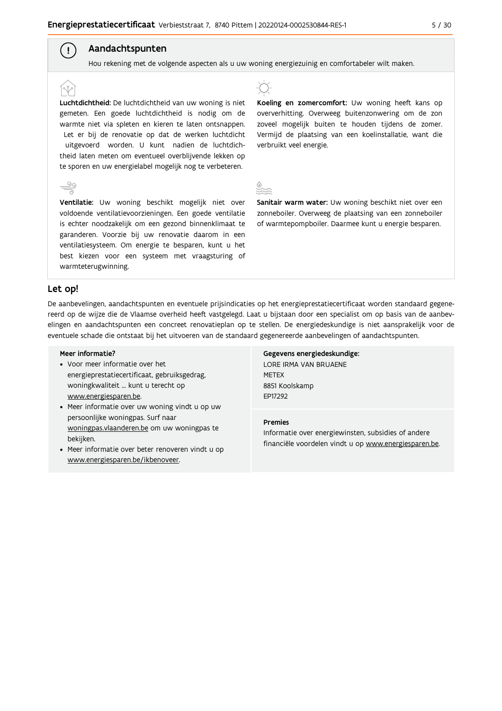### Aandachtspunten

Hou rekening met de volgende aspecten als u uw woning energiezuinig en comfortabeler wilt maken.

Luchtdichtheid: De luchtdichtheid van uw woning is niet gemeten. Een goede luchtdichtheid is nodig om de warmte niet via spleten en kieren te laten ontsnappen. Let er bij de renovatie op dat de werken luchtdicht uitgevoerd worden. U kunt nadien de luchtdichtheid laten meten om eventueel overblijvende lekken op te sporen en uw energielabel mogelijk nog te verbeteren.

Ventilatie: Uw woning beschikt mogelijk niet over voldoende ventilatievoorzieningen. Een goede ventilatie is echter noodzakelijk om een gezond binnenklimaat te garanderen. Voorzie bij uw renovatie daarom in een ventilatiesysteem. Om energie te besparen, kunt u het best kiezen voor een systeem met vraagsturing of warmteterugwinning.



Koeling en zomercomfort: Uw woning heeft kans op oververhitting. Overweeg buitenzonwering om de zon zoveel mogelijk buiten te houden tijdens de zomer. Vermijd de plaatsing van een koelinstallatie, want die verbruikt veel energie.

Sanitair warm water: Uw woning beschikt niet over een zonneboiler. Overweeg de plaatsing van een zonneboiler of warmtepompboiler. Daarmee kunt u energie besparen.

#### Let op!

( !

De aanbevelingen, aandachtspunten en eventuele prijsindicaties op het energieprestatiecertificaat worden standaard gegenereerd op de wijze die de Vlaamse overheid heeft vastgelegd. Laat u bijstaan door een specialist om op basis van de aanbevelingen en aandachtspunten een concreet renovatieplan op te stellen. De energiedeskundige is niet aansprakelijk voor de eventuele schade die ontstaat bij het uitvoeren van de standaard gegenereerde aanbevelingen of aandachtspunten.

#### Meer informatie?

- Voor meer informatie over het energieprestatiecertificaat, gebruiksgedrag, woningkwaliteit ... kunt u terecht op www.energiesparen.be.
- Meer informatie over uw woning vindt u op uw persoonlijke woningpas. Surf naar woningpas.vlaanderen.be om uw woningpas te bekijken.
- Meer informatie over beter renoveren vindt u op www.energiesparen.be/ikbenoveer.

Gegevens energiedeskundige: LORE IRMA VAN BRUAENE **METEX** 8851 Koolskamp EP17292

#### **Premies**

Informatie over energiewinsten, subsidies of andere financiële voordelen vindt u op www.energiesparen.be.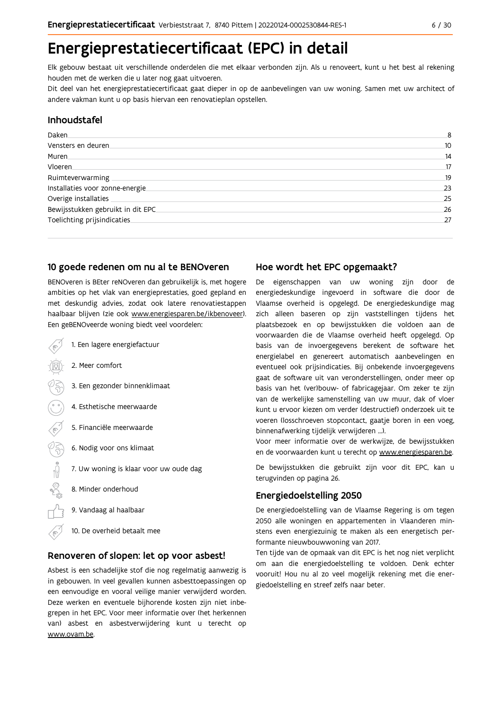# Energieprestatiecertificaat (EPC) in detail

Elk gebouw bestaat uit verschillende onderdelen die met elkaar verbonden zijn. Als u renoveert, kunt u het best al rekening houden met de werken die u later nog gaat uitvoeren.

Dit deel van het energieprestatiecertificaat gaat dieper in op de aanbevelingen van uw woning. Samen met uw architect of andere vakman kunt u op basis hiervan een renovatieplan opstellen.

#### Inhoudstafel

| Daken.                            | 8               |
|-----------------------------------|-----------------|
| Vensters en deuren                | 10 <sup>°</sup> |
| Muren                             | 14              |
| Vloeren                           | 17              |
| Ruimteverwarming                  | 19              |
| Installaties voor zonne-energie.  | 23              |
| Overige installaties              | 25              |
| Bewijsstukken gebruikt in dit EPC | 26              |
| Toelichting prijsindicaties       | 27              |

### 10 goede redenen om nu al te BENOveren

BENOveren is BEter reNOveren dan gebruikelijk is, met hogere ambities op het vlak van energieprestaties, goed gepland en met deskundig advies, zodat ook latere renovatiestappen haalbaar blijven (zie ook www.energiesparen.be/ikbenoveer). Een geBENOveerde woning biedt veel voordelen:

- 1. Een lagere energiefactuur 2. Meer comfort 3. Een gezonder binnenklimaat 4. Esthetische meerwaarde 5. Financiële meerwaarde  $\sqrt{3}$ 6. Nodig voor ons klimaat  $\begin{picture}(150,10) \put(0,0){\line(1,0){10}} \put(15,0){\line(1,0){10}} \put(15,0){\line(1,0){10}} \put(15,0){\line(1,0){10}} \put(15,0){\line(1,0){10}} \put(15,0){\line(1,0){10}} \put(15,0){\line(1,0){10}} \put(15,0){\line(1,0){10}} \put(15,0){\line(1,0){10}} \put(15,0){\line(1,0){10}} \put(15,0){\line(1,0){10}} \put(15,0){\line($ 7. Uw woning is klaar voor uw oude dag 8. Minder onderhoud
	- 9. Vandaag al haalbaar
	- 10. De overheid betaalt mee

#### Renoveren of slopen: let op voor asbest!

Asbest is een schadelijke stof die nog regelmatig aanwezig is in gebouwen. In veel gevallen kunnen asbesttoepassingen op een eenvoudige en vooral veilige manier verwijderd worden. Deze werken en eventuele bijhorende kosten zijn niet inbegrepen in het EPC. Voor meer informatie over (het herkennen van) asbest en asbestverwijdering kunt u terecht op www.ovam.be.

## Hoe wordt het EPC opgemaakt?

De eigenschappen van uw woning zijn door de energiedeskundige ingevoerd in software die door de Vlaamse overheid is opgelegd. De energiedeskundige mag zich alleen baseren op zijn vaststellingen tijdens het plaatsbezoek en op bewijsstukken die voldoen aan de voorwaarden die de Vlaamse overheid heeft opgelegd. Op basis van de invoergegevens berekent de software het energielabel en genereert automatisch aanbevelingen en eventueel ook prijsindicaties. Bij onbekende invoergegevens gaat de software uit van veronderstellingen, onder meer op basis van het (ver)bouw- of fabricagejaar. Om zeker te zijn van de werkelijke samenstelling van uw muur, dak of vloer kunt u ervoor kiezen om verder (destructief) onderzoek uit te voeren (losschroeven stopcontact, gaatje boren in een voeg, binnenafwerking tijdelijk verwijderen ...).

Voor meer informatie over de werkwijze, de bewijsstukken en de voorwaarden kunt u terecht op www.energiesparen.be.

De bewijsstukken die gebruikt zijn voor dit EPC, kan u terugvinden op pagina 26.

## **Energiedoelstelling 2050**

De energiedoelstelling van de Vlaamse Regering is om tegen 2050 alle woningen en appartementen in Vlaanderen minstens even energiezuinig te maken als een energetisch performante nieuwbouwwoning van 2017.

Ten tijde van de opmaak van dit EPC is het nog niet verplicht om aan die energiedoelstelling te voldoen. Denk echter vooruit! Hou nu al zo veel mogelijk rekening met die energiedoelstelling en streef zelfs naar beter.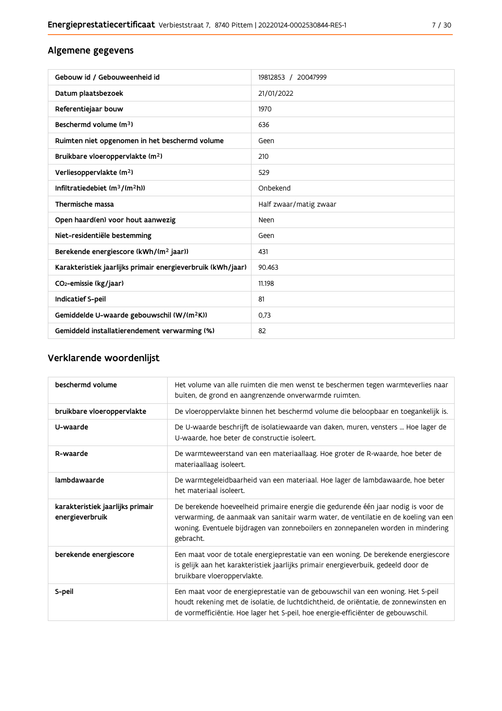# Algemene gegevens

| Gebouw id / Gebouweenheid id                                | 19812853 / 20047999    |
|-------------------------------------------------------------|------------------------|
| Datum plaatsbezoek                                          | 21/01/2022             |
| Referentiejaar bouw                                         | 1970                   |
| Beschermd volume (m <sup>3</sup> )                          | 636                    |
| Ruimten niet opgenomen in het beschermd volume              | Geen                   |
| Bruikbare vloeroppervlakte (m <sup>2</sup> )                | 210                    |
| Verliesoppervlakte (m <sup>2</sup> )                        | 529                    |
| Infiltratiedebiet (m <sup>3</sup> /(m <sup>2</sup> h))      | Onbekend               |
| Thermische massa                                            | Half zwaar/matig zwaar |
| Open haard(en) voor hout aanwezig                           | Neen                   |
| Niet-residentiële bestemming                                | Geen                   |
| Berekende energiescore (kWh/(m <sup>2</sup> jaar))          | 431                    |
| Karakteristiek jaarlijks primair energieverbruik (kWh/jaar) | 90.463                 |
| CO <sub>2</sub> -emissie (kg/jaar)                          | 11.198                 |
| <b>Indicatief S-peil</b>                                    | 81                     |
| Gemiddelde U-waarde gebouwschil (W/(m <sup>2</sup> K))      | 0.73                   |
| Gemiddeld installatierendement verwarming (%)               | 82                     |

# Verklarende woordenlijst

| beschermd volume                                    | Het volume van alle ruimten die men wenst te beschermen tegen warmteverlies naar<br>buiten, de grond en aangrenzende onverwarmde ruimten.                                                                                                                                 |
|-----------------------------------------------------|---------------------------------------------------------------------------------------------------------------------------------------------------------------------------------------------------------------------------------------------------------------------------|
| bruikbare vloeroppervlakte                          | De vloeroppervlakte binnen het beschermd volume die beloopbaar en toegankelijk is.                                                                                                                                                                                        |
| U-waarde                                            | De U-waarde beschrijft de isolatiewaarde van daken, muren, vensters  Hoe lager de<br>U-waarde, hoe beter de constructie isoleert.                                                                                                                                         |
| R-waarde                                            | De warmteweerstand van een materiaallaag. Hoe groter de R-waarde, hoe beter de<br>materiaallaag isoleert.                                                                                                                                                                 |
| lambdawaarde                                        | De warmtegeleidbaarheid van een materiaal. Hoe lager de lambdawaarde, hoe beter<br>het materiaal isoleert.                                                                                                                                                                |
| karakteristiek jaarlijks primair<br>energieverbruik | De berekende hoeveelheid primaire energie die gedurende één jaar nodig is voor de<br>verwarming, de aanmaak van sanitair warm water, de ventilatie en de koeling van een<br>woning. Eventuele bijdragen van zonneboilers en zonnepanelen worden in mindering<br>gebracht. |
| berekende energiescore                              | Een maat voor de totale energieprestatie van een woning. De berekende energiescore<br>is gelijk aan het karakteristiek jaarlijks primair energieverbuik, gedeeld door de<br>bruikbare vloeroppervlakte.                                                                   |
| S-peil                                              | Een maat voor de energieprestatie van de gebouwschil van een woning. Het S-peil<br>houdt rekening met de isolatie, de luchtdichtheid, de oriëntatie, de zonnewinsten en<br>de vormefficiëntie. Hoe lager het S-peil, hoe energie-efficiënter de gebouwschil.              |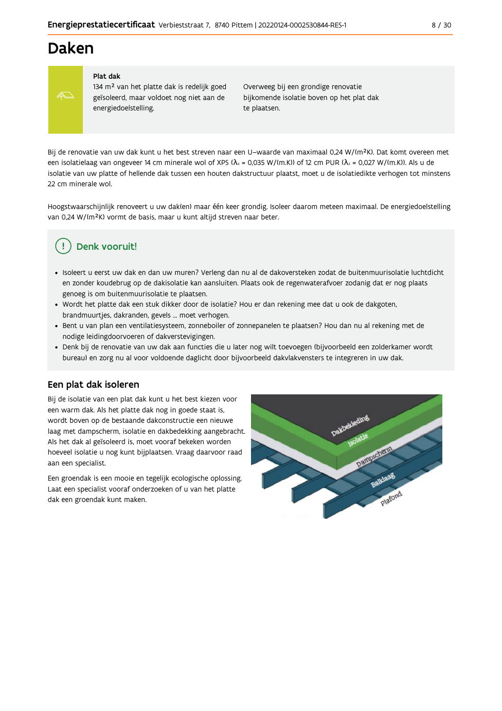# **Daken**



#### Plat dak

134 m<sup>2</sup> van het platte dak is redelijk goed geïsoleerd, maar voldoet nog niet aan de energiedoelstelling.

Overweeg bij een grondige renovatie bijkomende isolatie boven op het plat dak te plaatsen.

Bij de renovatie van uw dak kunt u het best streven naar een U-waarde van maximaal 0,24 W/(m<sup>2</sup>K). Dat komt overeen met een isolatielaag van ongeveer 14 cm minerale wol of XPS ( $\lambda_a$  = 0,035 W/(m.K)) of 12 cm PUR ( $\lambda_a$  = 0,027 W/(m.K)). Als u de isolatie van uw platte of hellende dak tussen een houten dakstructuur plaatst, moet u de isolatiedikte verhogen tot minstens 22 cm minerale wol

Hoogstwaarschijnlijk renoveert u uw dak(en) maar één keer grondig. Isoleer daarom meteen maximaal. De energiedoelstelling van 0,24 W/(m<sup>2</sup>K) vormt de basis, maar u kunt altijd streven naar beter.

# Denk vooruit!

- · Isoleert u eerst uw dak en dan uw muren? Verleng dan nu al de dakoversteken zodat de buitenmuurisolatie luchtdicht en zonder koudebrug op de dakisolatie kan aansluiten. Plaats ook de regenwaterafvoer zodanig dat er nog plaats genoeg is om buitenmuurisolatie te plaatsen.
- · Wordt het platte dak een stuk dikker door de isolatie? Hou er dan rekening mee dat u ook de dakgoten, brandmuurtjes, dakranden, gevels ... moet verhogen.
- · Bent u van plan een ventilatiesysteem, zonneboiler of zonnepanelen te plaatsen? Hou dan nu al rekening met de nodige leidingdoorvoeren of dakverstevigingen.
- · Denk bij de renovatie van uw dak aan functies die u later nog wilt toevoegen (bijvoorbeeld een zolderkamer wordt bureau) en zorg nu al voor voldoende daglicht door bijvoorbeeld dakvlakvensters te integreren in uw dak.

#### Een plat dak isoleren

Bij de isolatie van een plat dak kunt u het best kiezen voor een warm dak. Als het platte dak nog in goede staat is, wordt boven op de bestaande dakconstructie een nieuwe laag met dampscherm, isolatie en dakbedekking aangebracht. Als het dak al geïsoleerd is, moet vooraf bekeken worden hoeveel isolatie u nog kunt bijplaatsen. Vraag daarvoor raad aan een specialist.

Een groendak is een mooie en tegelijk ecologische oplossing. Laat een specialist vooraf onderzoeken of u van het platte dak een groendak kunt maken.

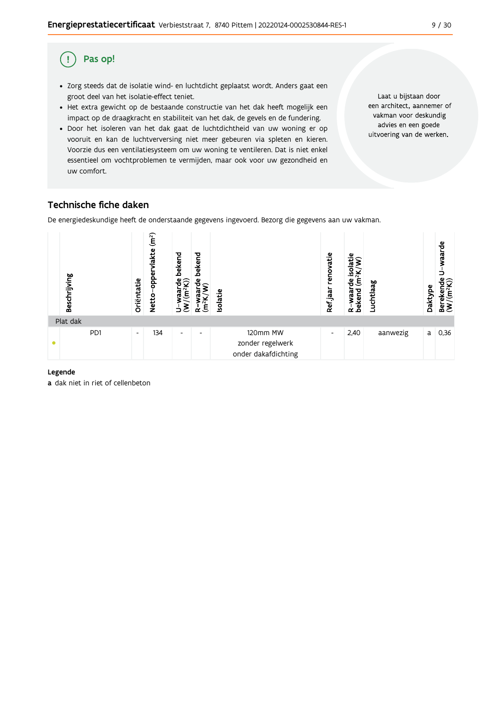#### $9/30$

#### Pas op! (!)

- · Zorg steeds dat de isolatie wind- en luchtdicht geplaatst wordt. Anders gaat een groot deel van het isolatie-effect teniet.
- Het extra gewicht op de bestaande constructie van het dak heeft mogelijk een impact op de draagkracht en stabiliteit van het dak, de gevels en de fundering.
- · Door het isoleren van het dak gaat de luchtdichtheid van uw woning er op vooruit en kan de luchtverversing niet meer gebeuren via spleten en kieren. Voorzie dus een ventilatiesysteem om uw woning te ventileren. Dat is niet enkel essentieel om vochtproblemen te vermijden, maar ook voor uw gezondheid en uw comfort.

Laat u bijstaan door een architect, aannemer of vakman voor deskundig advies en een goede uitvoering van de werken.

## Technische fiche daken

De energiedeskundige heeft de onderstaande gegevens ingevoerd. Bezorg die gegevens aan uw vakman.



#### Legende

a dak niet in riet of cellenbeton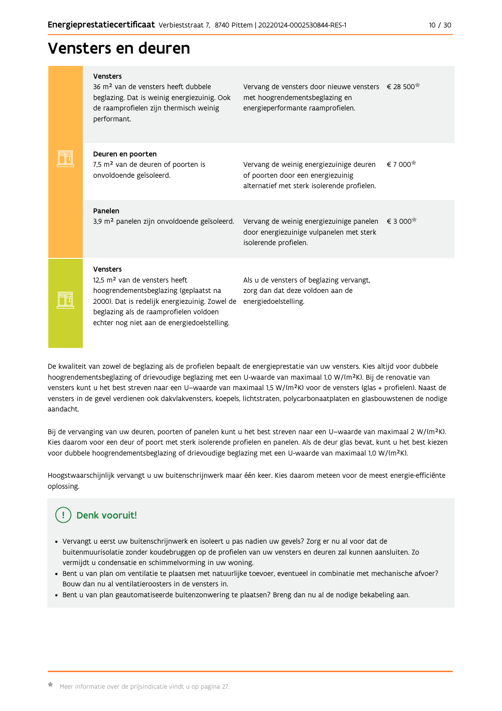#### $10/30$

# Vensters en deuren

|  | <b>Vensters</b><br>36 m <sup>2</sup> van de vensters heeft dubbele<br>beglazing. Dat is weinig energiezuinig. Ook<br>de raamprofielen zijn thermisch weinig<br>performant.                                                                       | Vervang de vensters door nieuwe vensters € 28 500 <sup>*</sup><br>met hoogrendementsbeglazing en<br>energieperformante raamprofielen. |                      |
|--|--------------------------------------------------------------------------------------------------------------------------------------------------------------------------------------------------------------------------------------------------|---------------------------------------------------------------------------------------------------------------------------------------|----------------------|
|  | Deuren en poorten<br>7,5 m <sup>2</sup> van de deuren of poorten is<br>onvoldoende geïsoleerd.                                                                                                                                                   | Vervang de weinig energiezuinige deuren<br>of poorten door een energiezuinig<br>alternatief met sterk isolerende profielen.           | € 7 000 <sup>★</sup> |
|  | Panelen<br>3,9 m <sup>2</sup> panelen zijn onvoldoende geïsoleerd.                                                                                                                                                                               | Vervang de weinig energiezuinige panelen € 3 000 <sup>*</sup><br>door energiezuinige vulpanelen met sterk<br>isolerende profielen.    |                      |
|  | <b>Vensters</b><br>12.5 m <sup>2</sup> van de vensters heeft<br>hoogrendementsbeglazing (geplaatst na<br>2000). Dat is redelijk energiezuinig. Zowel de<br>beglazing als de raamprofielen voldoen<br>echter nog niet aan de energiedoelstelling. | Als u de vensters of beglazing vervangt,<br>zorg dan dat deze voldoen aan de<br>energiedoelstelling.                                  |                      |

De kwaliteit van zowel de beglazing als de profielen bepaalt de energieprestatie van uw vensters. Kies altijd voor dubbele hoogrendementsbeglazing of drievoudige beglazing met een U-waarde van maximaal 1,0 W/(m<sup>2</sup>K). Bij de renovatie van vensters kunt u het best streven naar een U-waarde van maximaal 1,5 W/(m<sup>2</sup>K) voor de vensters (glas + profielen). Naast de vensters in de gevel verdienen ook dakvlakvensters, koepels, lichtstraten, polycarbonaatplaten en glasbouwstenen de nodige aandacht.

Bij de vervanging van uw deuren, poorten of panelen kunt u het best streven naar een U-waarde van maximaal 2 W/(m<sup>2</sup>K). Kies daarom voor een deur of poort met sterk isolerende profielen en panelen. Als de deur glas bevat, kunt u het best kiezen voor dubbele hoogrendementsbeglazing of drievoudige beglazing met een U-waarde van maximaal 1,0 W/(m<sup>2</sup>K).

Hoogstwaarschijnlijk vervangt u uw buitenschrijnwerk maar één keer. Kies daarom meteen voor de meest energie-efficiënte oplossing.

# Denk vooruit!

- · Vervangt u eerst uw buitenschrijnwerk en isoleert u pas nadien uw gevels? Zorg er nu al voor dat de buitenmuurisolatie zonder koudebruggen op de profielen van uw vensters en deuren zal kunnen aansluiten. Zo vermijdt u condensatie en schimmelvorming in uw woning.
- Bent u van plan om ventilatie te plaatsen met natuurlijke toevoer, eventueel in combinatie met mechanische afvoer? Bouw dan nu al ventilatieroosters in de vensters in.
- · Bent u van plan geautomatiseerde buitenzonwering te plaatsen? Breng dan nu al de nodige bekabeling aan.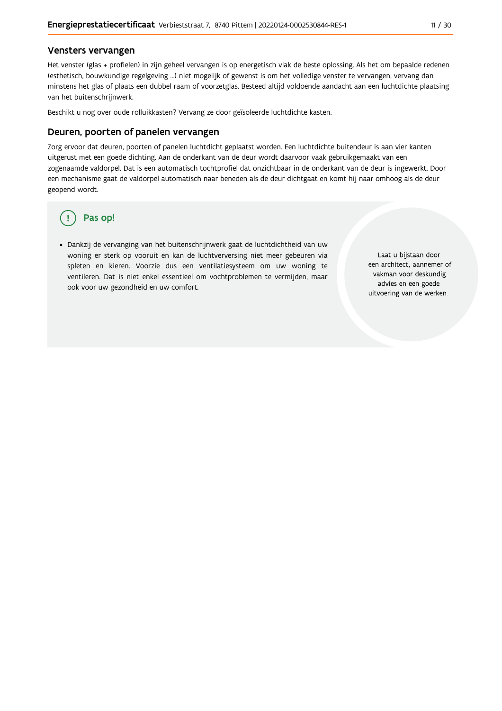#### Vensters vervangen

Het venster (glas + profielen) in zijn geheel vervangen is op energetisch vlak de beste oplossing. Als het om bepaalde redenen (esthetisch, bouwkundige regelgeving ...) niet mogelijk of gewenst is om het volledige venster te vervangen, vervang dan minstens het glas of plaats een dubbel raam of voorzetglas. Besteed altijd voldoende aandacht aan een luchtdichte plaatsing van het buitenschrijnwerk.

Beschikt u nog over oude rolluikkasten? Vervang ze door geïsoleerde luchtdichte kasten.

#### Deuren, poorten of panelen vervangen

Zorg ervoor dat deuren, poorten of panelen luchtdicht geplaatst worden. Een luchtdichte buitendeur is aan vier kanten uitgerust met een goede dichting. Aan de onderkant van de deur wordt daarvoor vaak gebruikgemaakt van een zogenaamde valdorpel. Dat is een automatisch tochtprofiel dat onzichtbaar in de onderkant van de deur is ingewerkt. Door een mechanisme gaat de valdorpel automatisch naar beneden als de deur dichtgaat en komt hij naar omhoog als de deur geopend wordt.

# Pas op!

· Dankzij de vervanging van het buitenschrijnwerk gaat de luchtdichtheid van uw woning er sterk op vooruit en kan de luchtverversing niet meer gebeuren via spleten en kieren. Voorzie dus een ventilatiesysteem om uw woning te ventileren. Dat is niet enkel essentieel om vochtproblemen te vermijden, maar ook voor uw gezondheid en uw comfort.

Laat u bijstaan door een architect, aannemer of vakman voor deskundig advies en een goede uitvoering van de werken.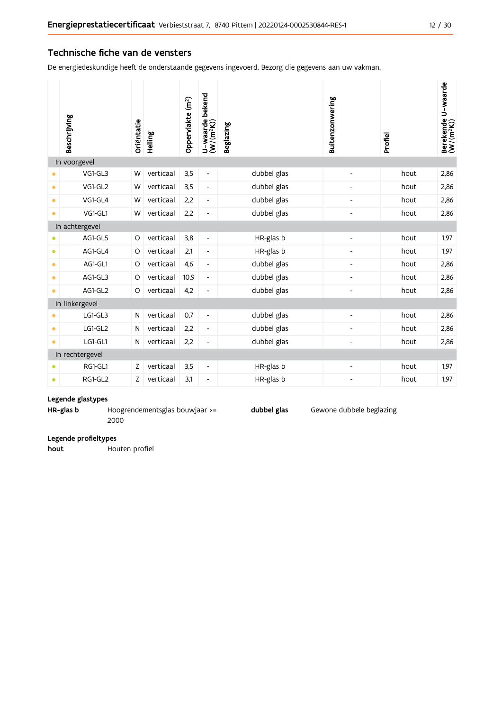#### Technische fiche van de vensters

De energiedeskundige heeft de onderstaande gegevens ingevoerd. Bezorg die gegevens aan uw vakman.

|           | Beschrijving<br>In voorgevel | Oriëntatie | Helling   | Oppervlakte (m <sup>2</sup> ) | bekend<br>$U$ – waarde l $(W/(m^2K))$ | <b>Beglazing</b> | Buitenzonwering          | Profiel | Berekende U-waarde<br>(W/(m <sup>2</sup> K)) |
|-----------|------------------------------|------------|-----------|-------------------------------|---------------------------------------|------------------|--------------------------|---------|----------------------------------------------|
|           | VG1-GL3                      | W          | verticaal | 3,5                           | $\overline{\phantom{a}}$              | dubbel glas      | $\overline{a}$           | hout    | 2,86                                         |
| ۰         | VG1-GL2                      | W          | verticaal | 3,5                           | $\overline{\phantom{a}}$              | dubbel glas      | $\overline{a}$           | hout    | 2,86                                         |
| $\bullet$ | VG1-GL4                      | W          | verticaal | 2,2                           | $\overline{\phantom{a}}$              | dubbel glas      | $\overline{\phantom{a}}$ | hout    | 2,86                                         |
| $\bullet$ | VG1-GL1                      | W          | verticaal | 2,2                           | L,                                    | dubbel glas      | $\overline{a}$           | hout    | 2,86                                         |
|           | In achtergevel               |            |           |                               |                                       |                  |                          |         |                                              |
| $\bullet$ | AG1-GL5                      | O          | verticaal | 3,8                           | $\overline{\phantom{a}}$              | HR-glas b        | $\overline{a}$           | hout    | 1,97                                         |
| $\bullet$ | AG1-GL4                      | $\circ$    | verticaal | 2,1                           | $\blacksquare$                        | HR-glas b        |                          | hout    | 1,97                                         |
| $\bullet$ | AG1-GL1                      | O          | verticaal | 4,6                           | $\frac{1}{2}$                         | dubbel glas      | $\overline{a}$           | hout    | 2,86                                         |
| $\bullet$ | AG1-GL3                      | O          | verticaal | 10,9                          | $\overline{\phantom{a}}$              | dubbel glas      | $\overline{a}$           | hout    | 2,86                                         |
| $\bullet$ | AG1-GL2                      | O          | verticaal | 4,2                           | $\overline{\phantom{a}}$              | dubbel glas      | $\overline{a}$           | hout    | 2,86                                         |
|           | In linkergevel               |            |           |                               |                                       |                  |                          |         |                                              |
| $\bullet$ | LG1-GL3                      | N          | verticaal | 0,7                           | $\overline{\phantom{a}}$              | dubbel glas      | $\overline{\phantom{a}}$ | hout    | 2,86                                         |
| ۰         | LG1-GL2                      | Ν          | verticaal | 2,2                           | $\overline{\phantom{a}}$              | dubbel glas      | $\overline{a}$           | hout    | 2,86                                         |
| $\bullet$ | LG1-GL1                      | Ν          | verticaal | 2,2                           | $\frac{1}{2}$                         | dubbel glas      | $\overline{a}$           | hout    | 2,86                                         |
|           | In rechtergevel              |            |           |                               |                                       |                  |                          |         |                                              |
| 0         | RG1-GL1                      | Ζ          | verticaal | 3,5                           | $\overline{\phantom{a}}$              | HR-glas b        | $\overline{a}$           | hout    | 1,97                                         |
| $\bullet$ | RG1-GL2                      | Z          | verticaal | 3,1                           | $\overline{\phantom{0}}$              | HR-glas b        | $\overline{a}$           | hout    | 1,97                                         |

#### Legende glastypes

HR-glas b Hoogrendementsglas bouwjaar >= 2000

dubbel glas

Gewone dubbele beglazing

Legende profieltypes

hout Houten profiel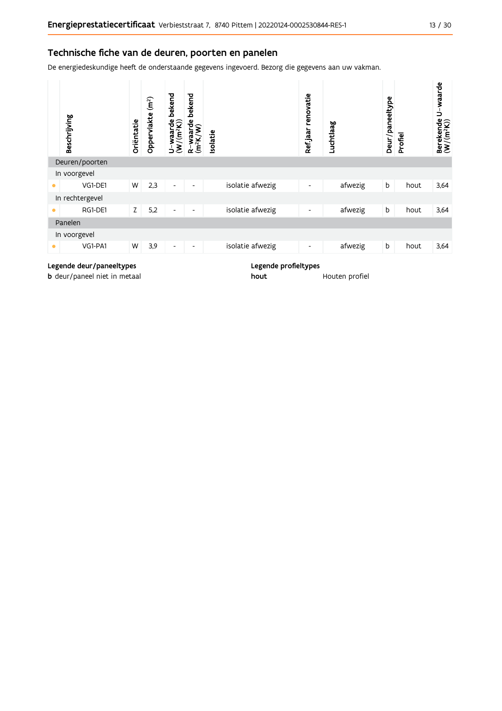### Technische fiche van de deuren, poorten en panelen

De energiedeskundige heeft de onderstaande gegevens ingevoerd. Bezorg die gegevens aan uw vakman.



### Legende deur/paneeltypes

**b** deur/paneel niet in metaal

#### Legende profieltypes

hout

Houten profiel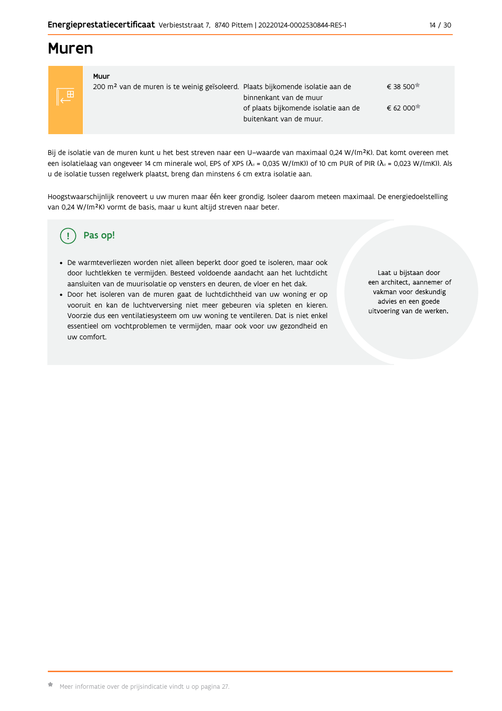# **Muren**

| ╫ |  |
|---|--|
|   |  |

| Muur                                                                                       |                                      |          |
|--------------------------------------------------------------------------------------------|--------------------------------------|----------|
| 200 m <sup>2</sup> van de muren is te weinig geïsoleerd. Plaats bijkomende isolatie aan de |                                      | € 38 500 |
|                                                                                            | binnenkant van de muur               |          |
|                                                                                            | of plaats bijkomende isolatie aan de | € 62 000 |
|                                                                                            | buitenkant van de muur.              |          |
|                                                                                            |                                      |          |

Bij de isolatie van de muren kunt u het best streven naar een U-waarde van maximaal 0,24 W/(m<sup>2</sup>K). Dat komt overeen met een isolatielaag van ongeveer 14 cm minerale wol, EPS of XPS ( $\lambda_a$  = 0,035 W/(mK)) of 10 cm PUR of PIR ( $\lambda_a$  = 0,023 W/(mK)). Als u de isolatie tussen regelwerk plaatst, breng dan minstens 6 cm extra isolatie aan.

Hoogstwaarschijnlijk renoveert u uw muren maar één keer grondig. Isoleer daarom meteen maximaal. De energiedoelstelling van 0,24 W/(m<sup>2</sup>K) vormt de basis, maar u kunt altijd streven naar beter.

#### Pas op! Ţ

- · De warmteverliezen worden niet alleen beperkt door goed te isoleren, maar ook door luchtlekken te vermijden. Besteed voldoende aandacht aan het luchtdicht aansluiten van de muurisolatie op vensters en deuren, de vloer en het dak.
- · Door het isoleren van de muren gaat de luchtdichtheid van uw woning er op vooruit en kan de luchtverversing niet meer gebeuren via spleten en kieren. Voorzie dus een ventilatiesysteem om uw woning te ventileren. Dat is niet enkel essentieel om vochtproblemen te vermijden, maar ook voor uw gezondheid en uw comfort.

Laat u bijstaan door een architect, aannemer of vakman voor deskundig advies en een goede uitvoering van de werken.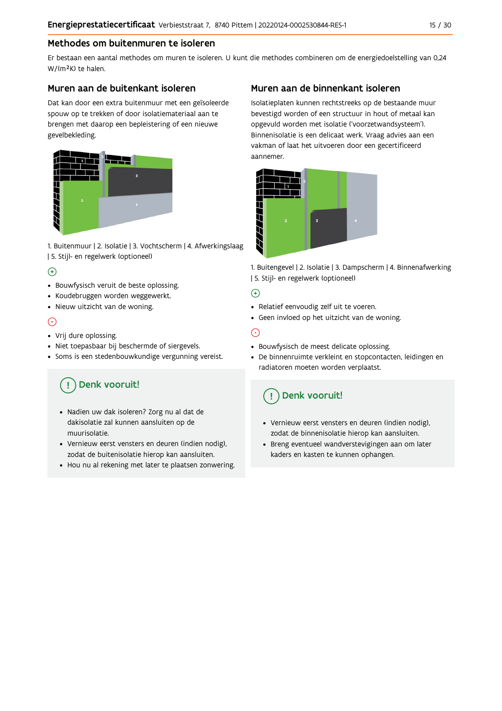## Methodes om buitenmuren te isoleren

Er bestaan een aantal methodes om muren te isoleren. U kunt die methodes combineren om de energiedoelstelling van 0,24 W/(m<sup>2</sup>K) te halen.

#### Muren aan de buitenkant isoleren

Dat kan door een extra buitenmuur met een geïsoleerde spouw op te trekken of door isolatiemateriaal aan te brengen met daarop een bepleistering of een nieuwe gevelbekleding.



1. Buitenmuur | 2. Isolatie | 3. Vochtscherm | 4. Afwerkingslaag | 5. Stijl- en regelwerk (optioneel)

## $\bigoplus$

- Bouwfysisch veruit de beste oplossing.
- Koudebruggen worden weggewerkt.
- · Nieuw uitzicht van de woning.

## $\odot$

#### • Vrij dure oplossing.

- · Niet toepasbaar bij beschermde of siergevels.
- Soms is een stedenbouwkundige vergunning vereist.

# Denk vooruit!

- · Nadien uw dak isoleren? Zorg nu al dat de dakisolatie zal kunnen aansluiten op de muurisolatie.
- · Vernieuw eerst vensters en deuren (indien nodig), zodat de buitenisolatie hierop kan aansluiten.
- Hou nu al rekening met later te plaatsen zonwering.

## Muren aan de binnenkant isoleren

Isolatieplaten kunnen rechtstreeks op de bestaande muur bevestigd worden of een structuur in hout of metaal kan opgevuld worden met isolatie ('voorzetwandsysteem'). Binnenisolatie is een delicaat werk. Vraag advies aan een vakman of laat het uitvoeren door een gecertificeerd aannemer



1. Buitengevel | 2. Isolatie | 3. Dampscherm | 4. Binnenafwerking | 5. Stijl- en regelwerk (optioneel)

#### $\bigoplus$

- Relatief eenvoudig zelf uit te voeren.
- Geen invloed op het uitzicht van de woning.

## ⊝

- Bouwfysisch de meest delicate oplossing.
- · De binnenruimte verkleint en stopcontacten, leidingen en radiatoren moeten worden verplaatst.

# Denk vooruit!

- Vernieuw eerst vensters en deuren (indien nodig), zodat de binnenisolatie hierop kan aansluiten.
- · Breng eventueel wandverstevigingen aan om later kaders en kasten te kunnen ophangen.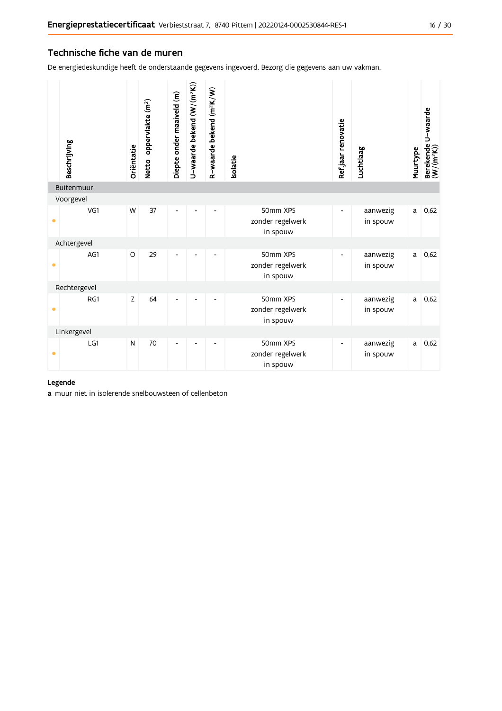#### Technische fiche van de muren

De energiedeskundige heeft de onderstaande gegevens ingevoerd. Bezorg die gegevens aan uw vakman.

|           | Beschrijving | Oriëntatie | Netto-oppervlakte (m <sup>2</sup> ) | Diepte onder maaiveld (m) | U-waarde bekend (W/(m <sup>2</sup> K)) | R-waarde bekend (m <sup>2</sup> K/W) | solatie                                  | Ref.jaar renovatie       | Luchtlaag            | Muurtype     | Berekende U-waarde<br>(W/(m <sup>2</sup> K)) |
|-----------|--------------|------------|-------------------------------------|---------------------------|----------------------------------------|--------------------------------------|------------------------------------------|--------------------------|----------------------|--------------|----------------------------------------------|
|           | Buitenmuur   |            |                                     |                           |                                        |                                      |                                          |                          |                      |              |                                              |
|           | Voorgevel    |            |                                     |                           |                                        |                                      |                                          |                          |                      |              |                                              |
| $\bullet$ | VG1          | W          | 37                                  |                           |                                        |                                      | 50mm XPS<br>zonder regelwerk<br>in spouw |                          | aanwezig<br>in spouw | $\mathsf{a}$ | 0,62                                         |
|           | Achtergevel  |            |                                     |                           |                                        |                                      |                                          |                          |                      |              |                                              |
| $\bullet$ | AG1          | $\circ$    | 29                                  | $\overline{a}$            |                                        | ÷,                                   | 50mm XPS<br>zonder regelwerk<br>in spouw | $\overline{\phantom{a}}$ | aanwezig<br>in spouw | a            | 0,62                                         |
|           | Rechtergevel |            |                                     |                           |                                        |                                      |                                          |                          |                      |              |                                              |
| $\bullet$ | RG1          | Z          | 64                                  | $\overline{\phantom{a}}$  |                                        |                                      | 50mm XPS<br>zonder regelwerk<br>in spouw | $\overline{a}$           | aanwezig<br>in spouw | a            | 0,62                                         |
|           | Linkergevel  |            |                                     |                           |                                        |                                      |                                          |                          |                      |              |                                              |
| $\bullet$ | LG1          | N          | 70                                  |                           |                                        |                                      | 50mm XPS<br>zonder regelwerk<br>in spouw | -                        | aanwezig<br>in spouw | a            | 0,62                                         |

### Legende

a muur niet in isolerende snelbouwsteen of cellenbeton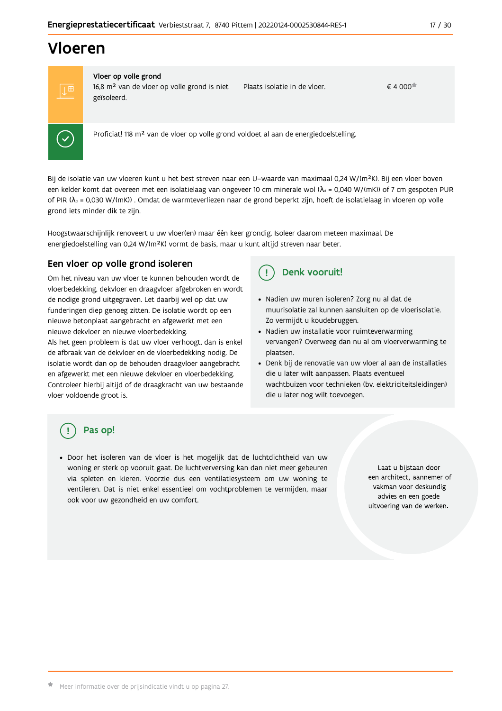#### $17/30$

# Vloeren



Vloer op volle grond 16,8 m<sup>2</sup> van de vloer op volle grond is niet Plaats isolatie in de vloer. geïsoleerd.

 $\notin$  4.000 $\uparrow$ 

Proficiat! 118 m<sup>2</sup> van de vloer op volle grond voldoet al aan de energiedoelstelling.

Bij de isolatie van uw vloeren kunt u het best streven naar een U-waarde van maximaal 0,24 W/(m<sup>2</sup>K). Bij een vloer boven een kelder komt dat overeen met een isolatielaag van ongeveer 10 cm minerale wol ( $\lambda_4$  = 0,040 W/(mK)) of 7 cm gespoten PUR of PIR ( $\lambda_0$  = 0,030 W/(mK)). Omdat de warmteverliezen naar de grond beperkt zijn, hoeft de isolatielaag in vloeren op volle grond iets minder dik te zijn.

Hoogstwaarschijnlijk renoveert u uw vloer(en) maar één keer grondig. Isoleer daarom meteen maximaal. De energiedoelstelling van 0,24 W/(m<sup>2</sup>K) vormt de basis, maar u kunt altijd streven naar beter.

### Een vloer op volle grond isoleren

Om het niveau van uw vloer te kunnen behouden wordt de vloerbedekking, dekvloer en draagvloer afgebroken en wordt de nodige grond uitgegraven. Let daarbij wel op dat uw funderingen diep genoeg zitten. De isolatie wordt op een nieuwe betonplaat aangebracht en afgewerkt met een nieuwe dekvloer en nieuwe vloerbedekking.

Als het geen probleem is dat uw vloer verhoogt, dan is enkel de afbraak van de dekvloer en de vloerbedekking nodig. De isolatie wordt dan op de behouden draagvloer aangebracht en afgewerkt met een nieuwe dekvloer en vloerbedekking. Controleer hierbij altijd of de draagkracht van uw bestaande vloer voldoende groot is.

#### Denk vooruit! Ţ

- · Nadien uw muren isoleren? Zorg nu al dat de muurisolatie zal kunnen aansluiten op de vloerisolatie. Zo vermijdt u koudebruggen.
- Nadien uw installatie voor ruimteverwarming vervangen? Overweeg dan nu al om vloerverwarming te plaatsen.
- · Denk bij de renovatie van uw vloer al aan de installaties die u later wilt aanpassen. Plaats eventueel wachtbuizen voor technieken (bv. elektriciteitsleidingen) die u later nog wilt toevoegen.

# Pas op!

· Door het isoleren van de vloer is het mogelijk dat de luchtdichtheid van uw woning er sterk op vooruit gaat. De luchtverversing kan dan niet meer gebeuren via spleten en kieren. Voorzie dus een ventilatiesysteem om uw woning te ventileren. Dat is niet enkel essentieel om vochtproblemen te vermijden, maar ook voor uw gezondheid en uw comfort.

Laat u bijstaan door een architect, aannemer of vakman voor deskundig advies en een goede uitvoering van de werken.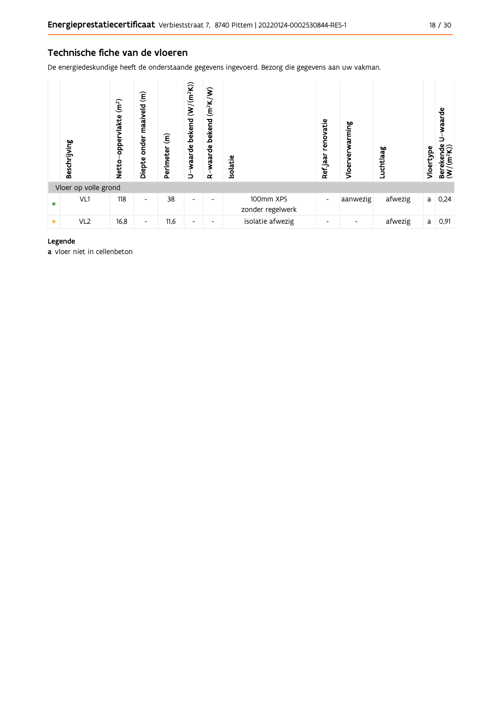## Technische fiche van de vloeren

De energiedeskundige heeft de onderstaande gegevens ingevoerd. Bezorg die gegevens aan uw vakman.

|           | Beschrijving         | (m <sup>2</sup> )<br>oppervlakte<br><b>Netto</b> | $\widehat{\epsilon}$<br>maaiveld<br>onder<br>Diepte | $\widehat{\boldsymbol{\epsilon}}$<br>Perimeter | U-waarde bekend (W/(m <sup>2</sup> K)) | $(m^2K/W)$<br>bekend<br>waarde<br>$\alpha$ | <b>Isolatie</b>               | renovatie<br>Ref jaar    | warming<br>ጀ<br>Vloery | Luchtlaag | Vloertype | waarde<br>⊃<br>Berekende<br>(W/(m <sup>2</sup> K)) |
|-----------|----------------------|--------------------------------------------------|-----------------------------------------------------|------------------------------------------------|----------------------------------------|--------------------------------------------|-------------------------------|--------------------------|------------------------|-----------|-----------|----------------------------------------------------|
|           | Vloer op volle grond |                                                  |                                                     |                                                |                                        |                                            |                               |                          |                        |           |           |                                                    |
| $\bullet$ | VL1                  | 118                                              | ٠                                                   | 38                                             | $\overline{\phantom{0}}$               | $\overline{\phantom{a}}$                   | 100mm XPS<br>zonder regelwerk | $\overline{\phantom{a}}$ | aanwezig               | afwezig   | a         | 0,24                                               |
| $\bullet$ | VL <sub>2</sub>      | 16,8                                             | ٠                                                   | 11,6                                           |                                        | $\overline{\phantom{0}}$                   | isolatie afwezig              | ٠                        |                        | afwezig   | a         | 0,91                                               |

#### Legende

a vloer niet in cellenbeton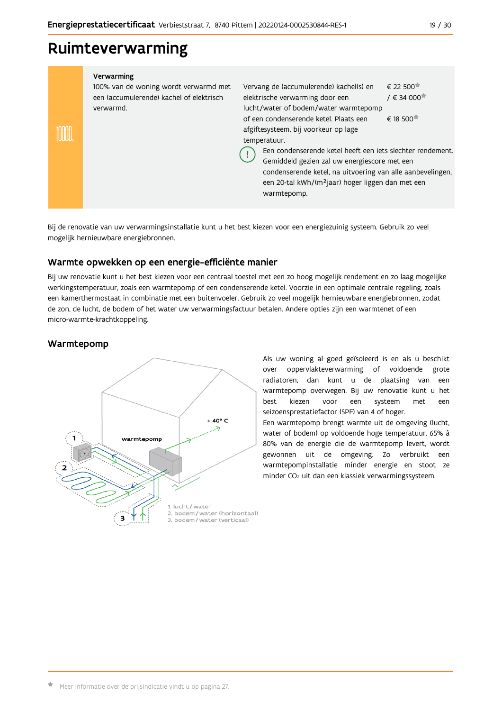# Ruimteverwarming

| Verwarming<br>100% van de woning wordt verwarmd met<br>een (accumulerende) kachel of elektrisch | Vervang de (accumulerende) kachel(s) en<br>elektrische verwarming door een                                                                                                                                                                                                                                                                                                                          | € 22 500<br>$/ \in 34000$ |
|-------------------------------------------------------------------------------------------------|-----------------------------------------------------------------------------------------------------------------------------------------------------------------------------------------------------------------------------------------------------------------------------------------------------------------------------------------------------------------------------------------------------|---------------------------|
| verwarmd.                                                                                       | lucht/water of bodem/water warmtepomp<br>of een condenserende ketel. Plaats een<br>afgiftesysteem, bij voorkeur op lage<br>temperatuur.<br>Een condenserende ketel heeft een jets slechter rendement.<br>Gemiddeld gezien zal uw energiescore met een<br>condenserende ketel, na uitvoering van alle aanbevelingen,<br>een 20-tal kWh/(m <sup>2</sup> jaar) hoger liggen dan met een<br>warmtepomp. | $\epsilon$ 18.500         |

Bij de renovatie van uw verwarmingsinstallatie kunt u het best kiezen voor een energiezuinig systeem. Gebruik zo veel mogelijk hernieuwbare energiebronnen.

### Warmte opwekken op een energie-efficiënte manier

Bij uw renovatie kunt u het best kiezen voor een centraal toestel met een zo hoog mogelijk rendement en zo laag mogelijke werkingstemperatuur, zoals een warmtepomp of een condenserende ketel. Voorzie in een optimale centrale regeling, zoals een kamerthermostaat in combinatie met een buitenvoeler. Gebruik zo veel mogelijk hernieuwbare energiebronnen, zodat de zon, de lucht, de bodem of het water uw verwarmingsfactuur betalen. Andere opties zijn een warmtenet of een micro-warmte-krachtkoppeling.

## Warmtepomp



Als uw woning al goed geïsoleerd is en als u beschikt over oppervlakteverwarming of voldoende grote radiatoren, dan kunt u de plaatsing van een warmtepomp overwegen. Bij uw renovatie kunt u het hest kiezen voor een systeem met een seizoensprestatiefactor (SPF) van 4 of hoger. Een warmtepomp brengt warmte uit de omgeving (lucht, water of bodem) op voldoende hoge temperatuur. 65% à 80% van de energie die de warmtepomp levert, wordt gewonnen uit de omgeving. Zo verbruikt een warmtepompinstallatie minder energie en stoot ze minder CO<sub>2</sub> uit dan een klassiek verwarmingssysteem.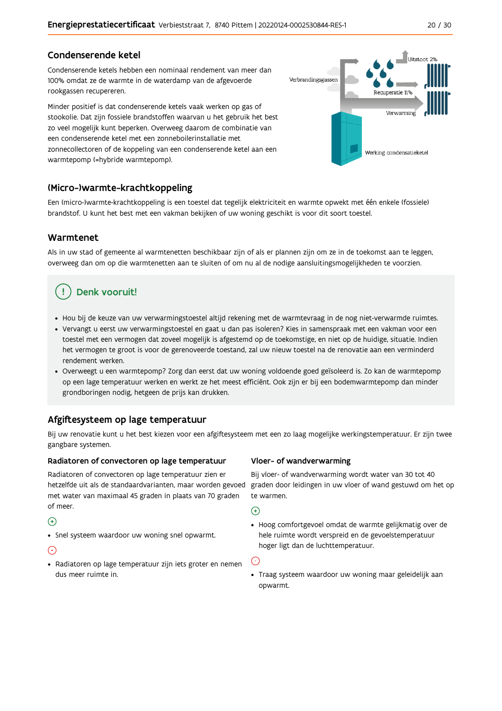#### Condenserende ketel

Condenserende ketels hebben een nominaal rendement van meer dan 100% omdat ze de warmte in de waterdamp van de afgevoerde rookgassen recupereren.

Minder positief is dat condenserende ketels vaak werken op gas of stookolie. Dat zijn fossiele brandstoffen waarvan u het gebruik het best zo veel mogelijk kunt beperken. Overweeg daarom de combinatie van een condenserende ketel met een zonneboilerinstallatie met zonnecollectoren of de koppeling van een condenserende ketel aan een warmtepomp (=hybride warmtepomp).



### (Micro-)warmte-krachtkoppeling

Een (micro-)warmte-krachtkoppeling is een toestel dat tegelijk elektriciteit en warmte opwekt met één enkele (fossiele) brandstof. U kunt het best met een vakman bekijken of uw woning geschikt is voor dit soort toestel.

### Warmtenet

Als in uw stad of gemeente al warmtenetten beschikbaar zijn of als er plannen zijn om ze in de toekomst aan te leggen, overweeg dan om op die warmtenetten aan te sluiten of om nu al de nodige aansluitingsmogelijkheden te voorzien.

# Denk vooruit!

- · Hou bij de keuze van uw verwarmingstoestel altijd rekening met de warmtevraag in de nog niet-verwarmde ruimtes.
- Vervangt u eerst uw verwarmingstoestel en gaat u dan pas isoleren? Kies in samenspraak met een vakman voor een toestel met een vermogen dat zoveel mogelijk is afgestemd op de toekomstige, en niet op de huidige, situatie. Indien het vermogen te groot is voor de gerenoveerde toestand, zal uw nieuw toestel na de renovatie aan een verminderd rendement werken
- · Overweegt u een warmtepomp? Zorg dan eerst dat uw woning voldoende goed geïsoleerd is. Zo kan de warmtepomp op een lage temperatuur werken en werkt ze het meest efficiënt. Ook zijn er bij een bodemwarmtepomp dan minder grondboringen nodig, hetgeen de prijs kan drukken.

## Afgiftesysteem op lage temperatuur

Bij uw renovatie kunt u het best kiezen voor een afgiftesysteem met een zo laag mogelijke werkingstemperatuur. Er zijn twee gangbare systemen.

#### Radiatoren of convectoren op lage temperatuur

Radiatoren of convectoren op lage temperatuur zien er hetzelfde uit als de standaardvarianten, maar worden gevoed met water van maximaal 45 graden in plaats van 70 graden of meer.

## $\bigoplus$

• Snel systeem waardoor uw woning snel opwarmt.

#### $\odot$

· Radiatoren op lage temperatuur zijn iets groter en nemen dus meer ruimte in.

#### Vloer- of wandverwarming

Bij vloer- of wandverwarming wordt water van 30 tot 40 graden door leidingen in uw vloer of wand gestuwd om het op te warmen.

 $\bigodot$ 

• Hoog comfortgevoel omdat de warmte gelijkmatig over de hele ruimte wordt verspreid en de gevoelstemperatuur hoger ligt dan de luchttemperatuur.

 $\bigodot$ 

· Traag systeem waardoor uw woning maar geleidelijk aan opwarmt.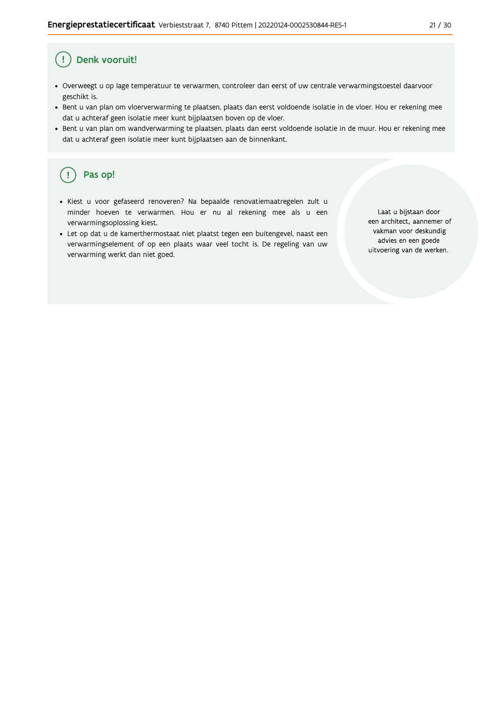#### Ţ Denk vooruit!

- · Overweegt u op lage temperatuur te verwarmen, controleer dan eerst of uw centrale verwarmingstoestel daarvoor geschikt is.
- · Bent u van plan om vloerverwarming te plaatsen, plaats dan eerst voldoende isolatie in de vloer. Hou er rekening mee dat u achteraf geen isolatie meer kunt bijplaatsen boven op de vloer.
- · Bent u van plan om wandverwarming te plaatsen, plaats dan eerst voldoende isolatie in de muur. Hou er rekening mee dat u achteraf geen isolatie meer kunt bijplaatsen aan de binnenkant.

#### ้ <u>เ</u> Pas op!

- · Kiest u voor gefaseerd renoveren? Na bepaalde renovatiemaatregelen zult u minder hoeven te verwarmen. Hou er nu al rekening mee als u een verwarmingsoplossing kiest.
- · Let op dat u de kamerthermostaat niet plaatst tegen een buitengevel, naast een verwarmingselement of op een plaats waar veel tocht is. De regeling van uw verwarming werkt dan niet goed.

Laat u bijstaan door een architect, aannemer of vakman voor deskundig advies en een goede uitvoering van de werken.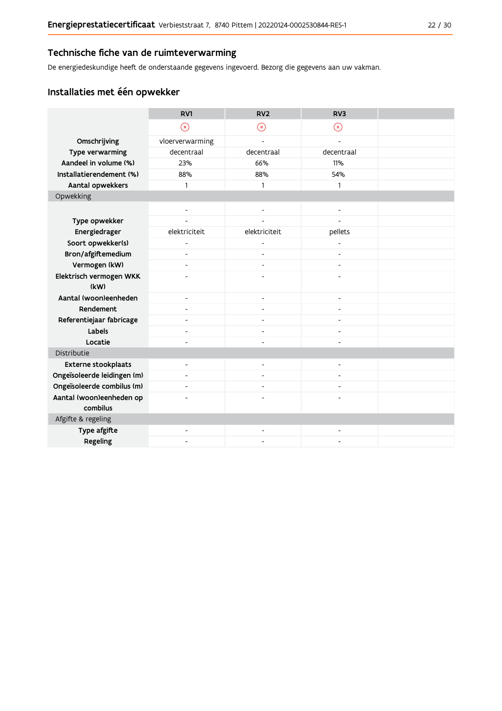### Technische fiche van de ruimteverwarming

De energiedeskundige heeft de onderstaande gegevens ingevoerd. Bezorg die gegevens aan uw vakman.

# Installaties met één opwekker

|                             | RV1                      | RV <sub>2</sub>          | RV <sub>3</sub>          |  |
|-----------------------------|--------------------------|--------------------------|--------------------------|--|
|                             | $\circledast$            | $\circledast$            | $\mathbb{R}$             |  |
| Omschrijving                | vloerverwarming          |                          |                          |  |
| Type verwarming             | decentraal               | decentraal               | decentraal               |  |
| Aandeel in volume (%)       | 23%                      | 66%                      | 11%                      |  |
| Installatierendement (%)    | 88%                      | 88%                      | 54%                      |  |
| Aantal opwekkers            | $\mathbf{1}$             | $\mathbf{1}$             | 1                        |  |
| Opwekking                   |                          |                          |                          |  |
|                             | $\overline{\phantom{a}}$ | $\overline{a}$           | ÷,                       |  |
| Type opwekker               |                          |                          |                          |  |
| Energiedrager               | elektriciteit            | elektriciteit            | pellets                  |  |
| Soort opwekker(s)           | ٠                        | $\overline{a}$           |                          |  |
| Bron/afgiftemedium          | $\overline{\phantom{a}}$ | $\overline{\phantom{a}}$ | $\overline{a}$           |  |
| Vermogen (kW)               | $\overline{\phantom{m}}$ | $\overline{\phantom{a}}$ | $\overline{\phantom{a}}$ |  |
| Elektrisch vermogen WKK     |                          |                          |                          |  |
| (kW)                        |                          |                          |                          |  |
| Aantal (woon)eenheden       | $\blacksquare$           | ٠                        | ٠                        |  |
| Rendement                   | $\blacksquare$           | ٠                        | $\overline{\phantom{a}}$ |  |
| Referentiejaar fabricage    | $\blacksquare$           | ٠                        | $\overline{\phantom{a}}$ |  |
| Labels                      |                          |                          |                          |  |
| Locatie                     | $\overline{a}$           |                          |                          |  |
| Distributie                 |                          |                          |                          |  |
| <b>Externe stookplaats</b>  | $\overline{\phantom{a}}$ | $\overline{\phantom{a}}$ | ÷,                       |  |
| Ongeïsoleerde leidingen (m) | $\blacksquare$           |                          |                          |  |
| Ongeïsoleerde combilus (m)  | $\blacksquare$           | $\overline{a}$           |                          |  |
| Aantal (woon)eenheden op    |                          |                          |                          |  |
| combilus                    |                          |                          |                          |  |
| Afgifte & regeling          |                          |                          |                          |  |
| Type afgifte                | $\overline{\phantom{a}}$ | $\overline{\phantom{a}}$ | $\overline{a}$           |  |
| Regeling                    |                          |                          |                          |  |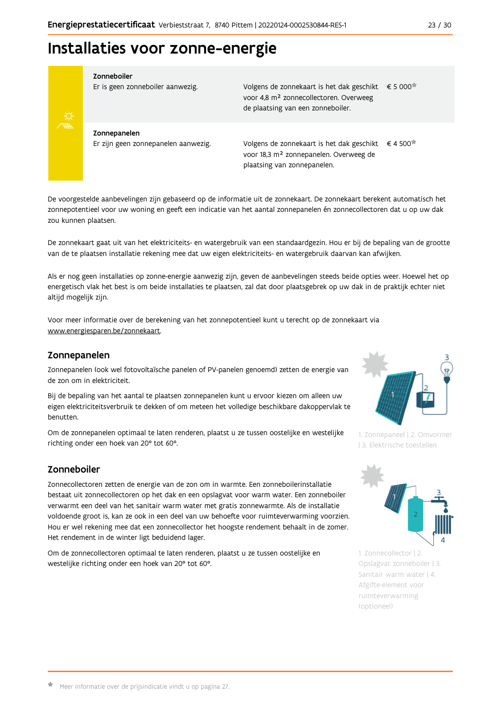

#### Zonneboiler

Er is geen zonneboiler aanwezig.

Volgens de zonnekaart is het dak geschikt € 5 000 voor 4,8 m<sup>2</sup> zonnecollectoren. Overweeg de plaatsing van een zonneboiler.

Zonnepanelen Er zijn geen zonnepanelen aanwezig.

Volgens de zonnekaart is het dak geschikt  $\epsilon$  4 500<sup> $\star$ </sup> voor 18,3 m<sup>2</sup> zonnepanelen. Overweeg de plaatsing van zonnepanelen.

De voorgestelde aanbevelingen zijn gebaseerd op de informatie uit de zonnekaart. De zonnekaart berekent automatisch het zonnepotentieel voor uw woning en geeft een indicatie van het aantal zonnepanelen én zonnecollectoren dat u op uw dak zou kunnen plaatsen.

De zonnekaart gaat uit van het elektriciteits- en watergebruik van een standaardgezin. Hou er bij de bepaling van de grootte van de te plaatsen installatie rekening mee dat uw eigen elektriciteits- en watergebruik daarvan kan afwijken.

Als er nog geen installaties op zonne-energie aanwezig zijn, geven de aanbevelingen steeds beide opties weer. Hoewel het op energetisch vlak het best is om beide installaties te plaatsen, zal dat door plaatsgebrek op uw dak in de praktijk echter niet altijd mogelijk zijn.

Voor meer informatie over de berekening van het zonnepotentieel kunt u terecht op de zonnekaart via www.energiesparen.be/zonnekaart.

#### Zonnepanelen

Zonnepanelen (ook wel fotovoltaïsche panelen of PV-panelen genoemd) zetten de energie van de zon om in elektriciteit.

Bij de bepaling van het aantal te plaatsen zonnepanelen kunt u ervoor kiezen om alleen uw eigen elektriciteitsverbruik te dekken of om meteen het volledige beschikbare dakoppervlak te benutten.

Om de zonnepanelen optimaal te laten renderen, plaatst u ze tussen oostelijke en westelijke richting onder een hoek van 20° tot 60°.

## Zonneboiler

Zonnecollectoren zetten de energie van de zon om in warmte. Een zonneboilerinstallatie bestaat uit zonnecollectoren op het dak en een opslagvat voor warm water. Een zonneboiler verwarmt een deel van het sanitair warm water met gratis zonnewarmte. Als de installatie voldoende groot is, kan ze ook in een deel van uw behoefte voor ruimteverwarming voorzien. Hou er wel rekening mee dat een zonnecollector het hoogste rendement behaalt in de zomer. Het rendement in de winter ligt beduidend lager.

Om de zonnecollectoren optimaal te laten renderen, plaatst u ze tussen oostelijke en westelijke richting onder een hoek van 20° tot 60°.



1. Zonnepaneel | 2. Omvormer | 3. Elektrische toestellen



1. Zonnecollector | 2. Opslagvat zonneboiler | 3. Sanitair warm water | 4. Afgifte-element voor ruimteverwarming (optioneel)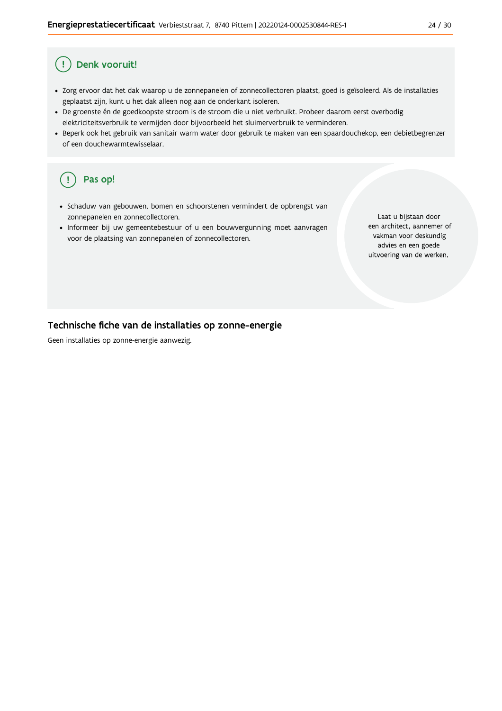#### Denk vooruit! Ţ

- · Zorg ervoor dat het dak waarop u de zonnepanelen of zonnecollectoren plaatst, goed is geïsoleerd. Als de installaties geplaatst zijn, kunt u het dak alleen nog aan de onderkant isoleren.
- · De groenste én de goedkoopste stroom is de stroom die u niet verbruikt. Probeer daarom eerst overbodig elektriciteitsverbruik te vermijden door bijvoorbeeld het sluimerverbruik te verminderen.
- · Beperk ook het gebruik van sanitair warm water door gebruik te maken van een spaardouchekop, een debietbegrenzer of een douchewarmtewisselaar.

#### Pas op! ( !

- · Schaduw van gebouwen, bomen en schoorstenen vermindert de opbrengst van zonnepanelen en zonnecollectoren.
- Informeer bij uw gemeentebestuur of u een bouwvergunning moet aanvragen voor de plaatsing van zonnepanelen of zonnecollectoren.

Laat u bijstaan door een architect, aannemer of vakman voor deskundig advies en een goede uitvoering van de werken.

### Technische fiche van de installaties op zonne-energie

Geen installaties op zonne-energie aanwezig.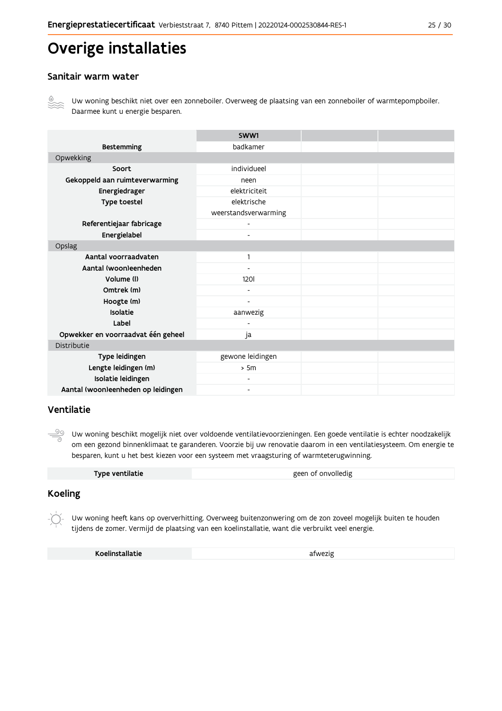# Overige installaties

#### Sanitair warm water



Uw woning beschikt niet over een zonneboiler. Overweeg de plaatsing van een zonneboiler of warmtepompboiler. Daarmee kunt u energie besparen.

|                                    | SWW1                     |  |  |
|------------------------------------|--------------------------|--|--|
| <b>Bestemming</b>                  | badkamer                 |  |  |
| Opwekking                          |                          |  |  |
| Soort                              | individueel              |  |  |
| Gekoppeld aan ruimteverwarming     | neen                     |  |  |
| Energiedrager                      | elektriciteit            |  |  |
| Type toestel                       | elektrische              |  |  |
|                                    | weerstandsverwarming     |  |  |
| Referentiejaar fabricage           | $\overline{\phantom{0}}$ |  |  |
| Energielabel                       | ٠                        |  |  |
| Opslag                             |                          |  |  |
| Aantal voorraadvaten               | 1                        |  |  |
| Aantal (woon)eenheden              |                          |  |  |
| Volume (I)                         | 1201                     |  |  |
| Omtrek (m)                         |                          |  |  |
| Hoogte (m)                         |                          |  |  |
| Isolatie                           | aanwezig                 |  |  |
| Label                              |                          |  |  |
| Opwekker en voorraadvat één geheel | ja                       |  |  |
| Distributie                        |                          |  |  |
| Type leidingen                     | gewone leidingen         |  |  |
| Lengte leidingen (m)               | > 5m                     |  |  |
| Isolatie leidingen                 |                          |  |  |
| Aantal (woon)eenheden op leidingen | $\overline{a}$           |  |  |

#### Ventilatie

 $\overset{\circledcirc}{=}$ Uw woning beschikt mogelijk niet over voldoende ventilatievoorzieningen. Een goede ventilatie is echter noodzakelijk om een gezond binnenklimaat te garanderen. Voorzie bij uw renovatie daarom in een ventilatiesysteem. Om energie te besparen, kunt u het best kiezen voor een systeem met vraagsturing of warmteterugwinning.

| Type ventilatie | geen of onvolledig |
|-----------------|--------------------|
|-----------------|--------------------|

### **Koeling**

Uw woning heeft kans op oververhitting. Overweeg buitenzonwering om de zon zoveel mogelijk buiten te houden tijdens de zomer. Vermijd de plaatsing van een koelinstallatie, want die verbruikt veel energie.

Koelinstallatie

afwezig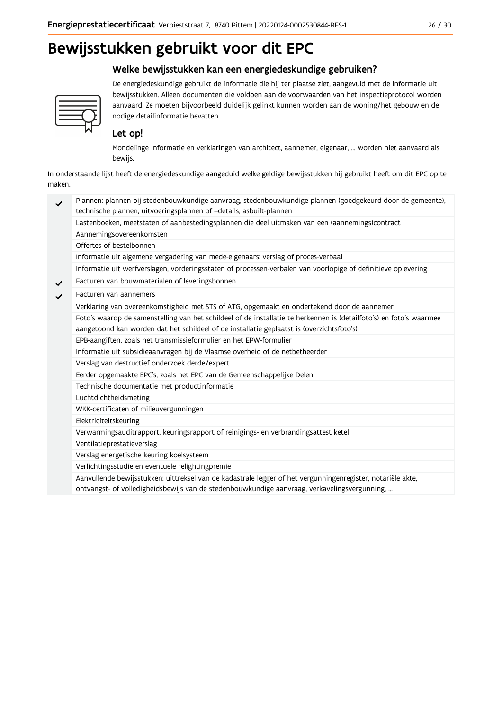# Bewijsstukken gebruikt voor dit EPC

# Welke bewijsstukken kan een energiedeskundige gebruiken?



De energiedeskundige gebruikt de informatie die hij ter plaatse ziet, aangevuld met de informatie uit bewijsstukken. Alleen documenten die voldoen aan de voorwaarden van het inspectieprotocol worden aanvaard. Ze moeten bijvoorbeeld duidelijk gelinkt kunnen worden aan de woning/het gebouw en de nodige detailinformatie bevatten.

## Let op!

Mondelinge informatie en verklaringen van architect, aannemer, eigenaar, ... worden niet aanvaard als bewijs.

In onderstaande lijst heeft de energiedeskundige aangeduid welke geldige bewijsstukken hij gebruikt heeft om dit EPC op te maken.

| $\checkmark$ | Plannen: plannen bij stedenbouwkundige aanvraag, stedenbouwkundige plannen (goedgekeurd door de gemeente),          |
|--------------|---------------------------------------------------------------------------------------------------------------------|
|              | technische plannen, uitvoeringsplannen of -details, asbuilt-plannen                                                 |
|              | Lastenboeken, meetstaten of aanbestedingsplannen die deel uitmaken van een (aannemings)contract                     |
|              | Aannemingsovereenkomsten                                                                                            |
|              | Offertes of bestelbonnen                                                                                            |
|              | Informatie uit algemene vergadering van mede-eigenaars: verslag of proces-verbaal                                   |
|              | Informatie uit werfverslagen, vorderingsstaten of processen-verbalen van voorlopige of definitieve oplevering       |
| $\checkmark$ | Facturen van bouwmaterialen of leveringsbonnen                                                                      |
| $\checkmark$ | Facturen van aannemers                                                                                              |
|              | Verklaring van overeenkomstigheid met STS of ATG, opgemaakt en ondertekend door de aannemer                         |
|              | Foto's waarop de samenstelling van het schildeel of de installatie te herkennen is (detailfoto's) en foto's waarmee |
|              | aangetoond kan worden dat het schildeel of de installatie geplaatst is (overzichtsfoto's)                           |
|              | EPB-aangiften, zoals het transmissieformulier en het EPW-formulier                                                  |
|              | Informatie uit subsidieaanvragen bij de Vlaamse overheid of de netbetheerder                                        |
|              | Verslag van destructief onderzoek derde/expert                                                                      |
|              | Eerder opgemaakte EPC's, zoals het EPC van de Gemeenschappelijke Delen                                              |
|              | Technische documentatie met productinformatie                                                                       |
|              | Luchtdichtheidsmeting                                                                                               |
|              | WKK-certificaten of milieuvergunningen                                                                              |
|              | Elektriciteitskeuring                                                                                               |
|              | Verwarmingsauditrapport, keuringsrapport of reinigings- en verbrandingsattest ketel                                 |
|              | Ventilatieprestatieverslag                                                                                          |
|              | Verslag energetische keuring koelsysteem                                                                            |
|              | Verlichtingsstudie en eventuele relightingpremie                                                                    |
|              | Aanvullende bewijsstukken: uittreksel van de kadastrale legger of het vergunningenregister, notariële akte,         |
|              | ontvangst- of volledigheidsbewijs van de stedenbouwkundige aanvraag, verkavelingsvergunning,                        |
|              |                                                                                                                     |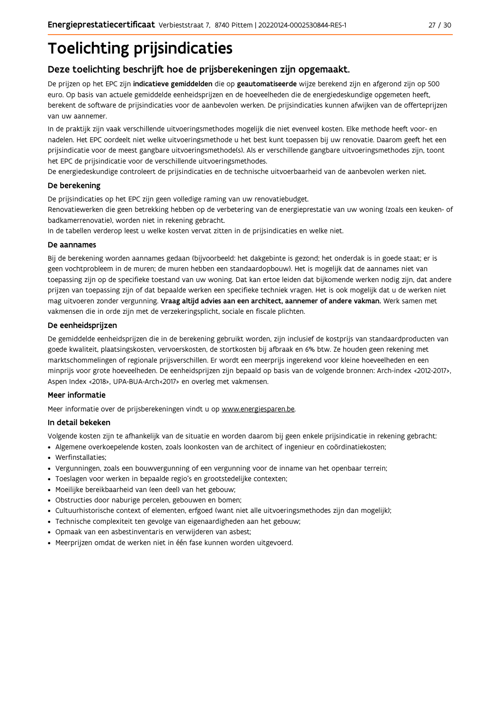# **Toelichting prijsindicaties**

## Deze toelichting beschrijft hoe de prijsberekeningen zijn opgemaakt.

De prijzen op het EPC zijn indicatieve gemiddelden die op geautomatiseerde wijze berekend zijn en afgerond zijn op 500 euro. Op basis van actuele gemiddelde eenheidsprijzen en de hoeveelheden die de energiedeskundige opgemeten heeft, berekent de software de prijsindicaties voor de aanbevolen werken. De prijsindicaties kunnen afwijken van de offerteprijzen van uw aannemer.

In de praktijk zijn vaak verschillende uitvoeringsmethodes mogelijk die niet evenveel kosten. Elke methode heeft voor- en nadelen. Het EPC oordeelt niet welke uitvoeringsmethode u het best kunt toepassen bij uw renovatie. Daarom geeft het een prijsindicatie voor de meest gangbare uitvoeringsmethode(s). Als er verschillende gangbare uitvoeringsmethodes zijn, toont het EPC de prijsindicatie voor de verschillende uitvoeringsmethodes.

De energiedeskundige controleert de prijsindicaties en de technische uitvoerbaarheid van de aanbevolen werken niet.

#### De berekening

De prijsindicaties op het EPC zijn geen volledige raming van uw renovatiebudget.

Renovatiewerken die geen betrekking hebben op de verbetering van de energieprestatie van uw woning (zoals een keuken- of badkamerrenovatie), worden niet in rekening gebracht.

In de tabellen verderop leest u welke kosten vervat zitten in de prijsindicaties en welke niet.

#### De aannames

Bij de berekening worden aannames gedaan (bijvoorbeeld: het dakgebinte is gezond; het onderdak is in goede staat; er is geen vochtprobleem in de muren; de muren hebben een standaardopbouw). Het is mogelijk dat de aannames niet van toepassing zijn op de specifieke toestand van uw woning. Dat kan ertoe leiden dat bijkomende werken nodig zijn, dat andere prijzen van toepassing zijn of dat bepaalde werken een specifieke techniek vragen. Het is ook mogelijk dat u de werken niet mag uitvoeren zonder vergunning. Vraag altijd advies aan een architect, aannemer of andere vakman. Werk samen met vakmensen die in orde zijn met de verzekeringsplicht, sociale en fiscale plichten.

#### De eenheidsprijzen

De gemiddelde eenheidspriizen die in de berekening gebruikt worden, zijn inclusief de kostpriis van standaardproducten van goede kwaliteit, plaatsingskosten, vervoerskosten, de stortkosten bij afbraak en 6% btw. Ze houden geen rekening met marktschommelingen of regionale prijsverschillen. Er wordt een meerprijs ingerekend voor kleine hoeveelheden en een minprijs voor grote hoeveelheden. De eenheidsprijzen zijn bepaald op basis van de volgende bronnen: Arch-index <2012-2017>, Aspen Index <2018>, UPA-BUA-Arch<2017> en overleg met vakmensen.

#### Meer informatie

Meer informatie over de prijsberekeningen vindt u op www.energiesparen.be.

#### In detail bekeken

Volgende kosten zijn te afhankelijk van de situatie en worden daarom bij geen enkele prijsindicatie in rekening gebracht:

- Algemene overkoepelende kosten, zoals loonkosten van de architect of ingenieur en coördinatiekosten;
- Werfinstallaties:
- · Vergunningen, zoals een bouwvergunning of een vergunning voor de inname van het openbaar terrein;
- Toeslagen voor werken in bepaalde regio's en grootstedelijke contexten:
- · Moeilijke bereikbaarheid van (een deel) van het gebouw;
- · Obstructies door naburige percelen, gebouwen en bomen;
- · Cultuurhistorische context of elementen, erfgoed (want niet alle uitvoeringsmethodes zijn dan mogelijk);
- · Technische complexiteit ten gevolge van eigenaardigheden aan het gebouw;
- · Opmaak van een asbestinventaris en verwijderen van asbest;
- · Meerprijzen omdat de werken niet in één fase kunnen worden uitgevoerd.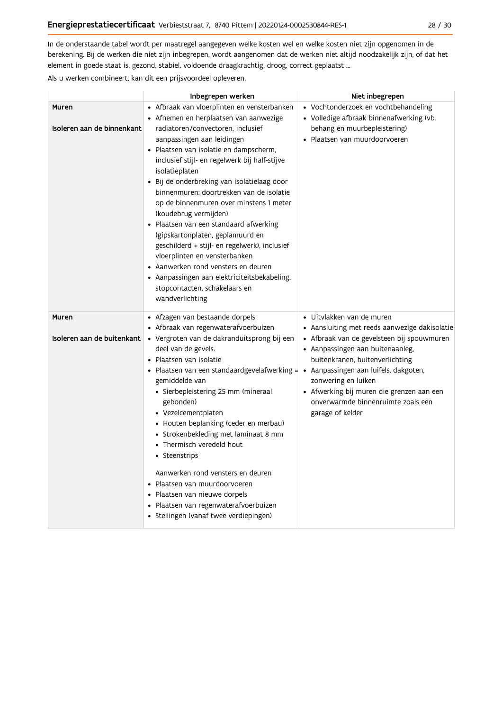In de onderstaande tabel wordt per maatregel aangegeven welke kosten wel en welke kosten niet zijn opgenomen in de berekening. Bij de werken die niet zijn inbegrepen, wordt aangenomen dat de werken niet altijd noodzakelijk zijn, of dat het element in goede staat is, gezond, stabiel, voldoende draagkrachtig, droog, correct geplaatst ...

Als u werken combineert, kan dit een prijsvoordeel opleveren.

|                                     | Inbegrepen werken                                                                                                                                                                                                                                                                                                                                                                                                                                                                                                                                                                                                                                                                                                                               | Niet inbegrepen                                                                                                                                                                                                                                                                                                                                                        |
|-------------------------------------|-------------------------------------------------------------------------------------------------------------------------------------------------------------------------------------------------------------------------------------------------------------------------------------------------------------------------------------------------------------------------------------------------------------------------------------------------------------------------------------------------------------------------------------------------------------------------------------------------------------------------------------------------------------------------------------------------------------------------------------------------|------------------------------------------------------------------------------------------------------------------------------------------------------------------------------------------------------------------------------------------------------------------------------------------------------------------------------------------------------------------------|
| Muren<br>Isoleren aan de binnenkant | • Afbraak van vloerplinten en vensterbanken<br>• Afnemen en herplaatsen van aanwezige<br>radiatoren/convectoren, inclusief<br>aanpassingen aan leidingen<br>· Plaatsen van isolatie en dampscherm,<br>inclusief stijl- en regelwerk bij half-stijve<br>isolatieplaten<br>· Bij de onderbreking van isolatielaag door<br>binnenmuren: doortrekken van de isolatie<br>op de binnenmuren over minstens 1 meter<br>(koudebrug vermijden)<br>• Plaatsen van een standaard afwerking<br>(gipskartonplaten, geplamuurd en<br>geschilderd + stijl- en regelwerk), inclusief<br>vloerplinten en vensterbanken<br>• Aanwerken rond vensters en deuren<br>• Aanpassingen aan elektriciteitsbekabeling,<br>stopcontacten, schakelaars en<br>wandverlichting | • Vochtonderzoek en vochtbehandeling<br>• Volledige afbraak binnenafwerking (vb.<br>behang en muurbepleistering)<br>· Plaatsen van muurdoorvoeren                                                                                                                                                                                                                      |
| Muren<br>Isoleren aan de buitenkant | • Afzagen van bestaande dorpels<br>• Afbraak van regenwaterafvoerbuizen<br>· Vergroten van de dakranduitsprong bij een<br>deel van de gevels.<br>• Plaatsen van isolatie<br>· Plaatsen van een standaardgevelafwerking =<br>gemiddelde van<br>· Sierbepleistering 25 mm (mineraal<br>gebonden)<br>• Vezelcementplaten<br>• Houten beplanking (ceder en merbau)<br>• Strokenbekleding met laminaat 8 mm<br>• Thermisch veredeld hout<br>• Steenstrips<br>Aanwerken rond vensters en deuren<br>• Plaatsen van muurdoorvoeren<br>• Plaatsen van nieuwe dorpels<br>• Plaatsen van regenwaterafvoerbuizen<br>• Stellingen (vanaf twee verdiepingen)                                                                                                  | • Uitvlakken van de muren<br>• Aansluiting met reeds aanwezige dakisolatie<br>• Afbraak van de gevelsteen bij spouwmuren<br>· Aanpassingen aan buitenaanleg,<br>buitenkranen, buitenverlichting<br>· Aanpassingen aan luifels, dakgoten,<br>zonwering en luiken<br>• Afwerking bij muren die grenzen aan een<br>onverwarmde binnenruimte zoals een<br>garage of kelder |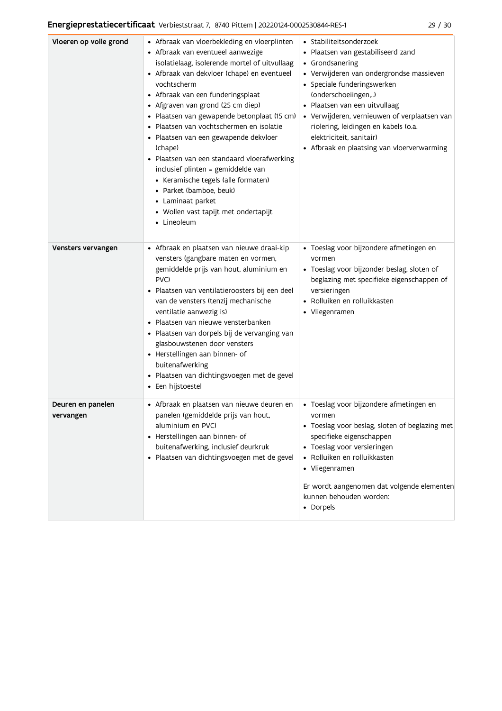| Vloeren op volle grond         | • Afbraak van vloerbekleding en vloerplinten<br>• Afbraak van eventueel aanwezige<br>isolatielaag, isolerende mortel of uitvullaag<br>• Afbraak van dekvloer (chape) en eventueel<br>vochtscherm<br>• Afbraak van een funderingsplaat<br>• Afgraven van grond (25 cm diep)<br>· Plaatsen van gewapende betonplaat (15 cm)<br>Plaatsen van vochtschermen en isolatie<br>Plaatsen van een gewapende dekvloer<br>(chape)<br>• Plaatsen van een standaard vloerafwerking<br>inclusief plinten = gemiddelde van<br>• Keramische tegels (alle formaten)<br>• Parket (bamboe, beuk)<br>• Laminaat parket<br>• Wollen vast tapijt met ondertapijt<br>• Lineoleum | • Stabiliteitsonderzoek<br>· Plaatsen van gestabiliseerd zand<br>• Grondsanering<br>• Verwijderen van ondergrondse massieven<br>• Speciale funderingswerken<br>(onderschoeiingen,)<br>· Plaatsen van een uitvullaag<br>• Verwijderen, vernieuwen of verplaatsen van<br>riolering, leidingen en kabels (o.a.<br>elektriciteit, sanitair)<br>• Afbraak en plaatsing van vloerverwarming |
|--------------------------------|----------------------------------------------------------------------------------------------------------------------------------------------------------------------------------------------------------------------------------------------------------------------------------------------------------------------------------------------------------------------------------------------------------------------------------------------------------------------------------------------------------------------------------------------------------------------------------------------------------------------------------------------------------|---------------------------------------------------------------------------------------------------------------------------------------------------------------------------------------------------------------------------------------------------------------------------------------------------------------------------------------------------------------------------------------|
| Vensters vervangen             | · Afbraak en plaatsen van nieuwe draai-kip<br>vensters (gangbare maten en vormen,<br>gemiddelde prijs van hout, aluminium en<br>PVC)<br>· Plaatsen van ventilatieroosters bij een deel<br>van de vensters (tenzij mechanische<br>ventilatie aanwezig is)<br>Plaatsen van nieuwe vensterbanken<br>· Plaatsen van dorpels bij de vervanging van<br>glasbouwstenen door vensters<br>• Herstellingen aan binnen- of<br>buitenafwerking<br>· Plaatsen van dichtingsvoegen met de gevel<br>• Een hijstoestel                                                                                                                                                   | · Toeslag voor bijzondere afmetingen en<br>vormen<br>• Toeslag voor bijzonder beslag, sloten of<br>beglazing met specifieke eigenschappen of<br>versieringen<br>• Rolluiken en rolluikkasten<br>• Vliegenramen                                                                                                                                                                        |
| Deuren en panelen<br>vervangen | · Afbraak en plaatsen van nieuwe deuren en<br>panelen (gemiddelde prijs van hout,<br>aluminium en PVC)<br>• Herstellingen aan binnen- of<br>buitenafwerking, inclusief deurkruk<br>· Plaatsen van dichtingsvoegen met de gevel                                                                                                                                                                                                                                                                                                                                                                                                                           | · Toeslag voor bijzondere afmetingen en<br>vormen<br>• Toeslag voor beslag, sloten of beglazing met<br>specifieke eigenschappen<br>• Toeslag voor versieringen<br>· Rolluiken en rolluikkasten<br>• Vliegenramen<br>Er wordt aangenomen dat volgende elementen<br>kunnen behouden worden:<br>• Dorpels                                                                                |